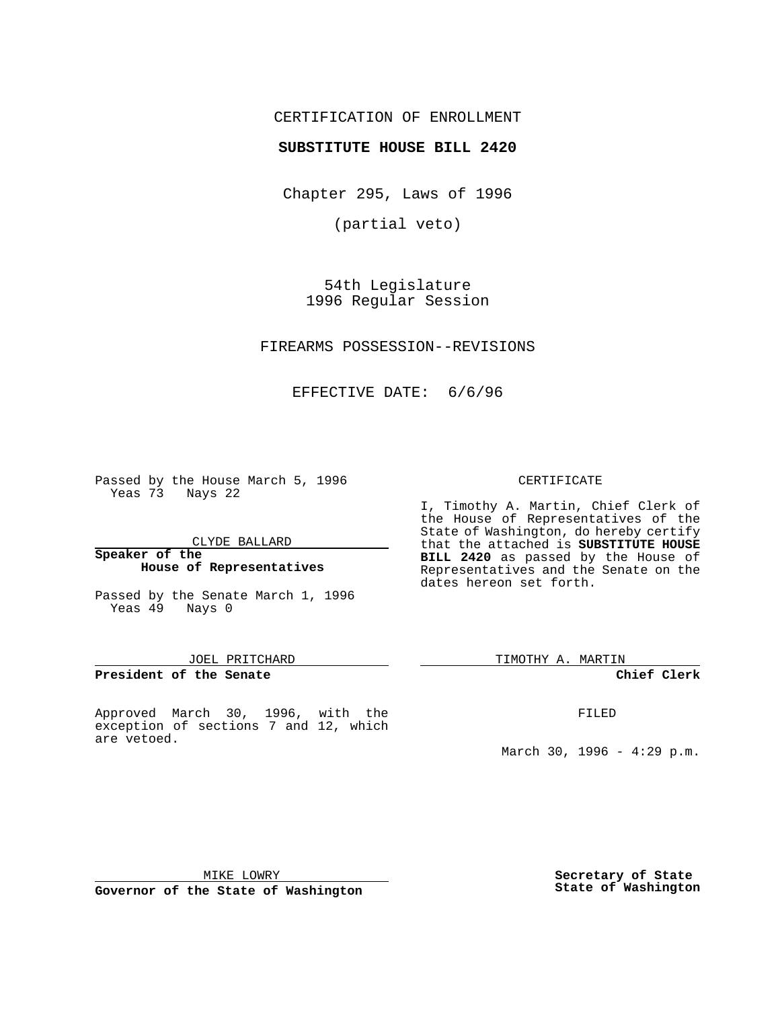## CERTIFICATION OF ENROLLMENT

## **SUBSTITUTE HOUSE BILL 2420**

Chapter 295, Laws of 1996

(partial veto)

54th Legislature 1996 Regular Session

FIREARMS POSSESSION--REVISIONS

EFFECTIVE DATE: 6/6/96

Passed by the House March 5, 1996 Yeas 73 Nays 22

CLYDE BALLARD

#### **Speaker of the House of Representatives**

Passed by the Senate March 1, 1996 Yeas 49 Nays 0

### JOEL PRITCHARD

**President of the Senate**

Approved March 30, 1996, with the exception of sections 7 and 12, which are vetoed.

#### CERTIFICATE

I, Timothy A. Martin, Chief Clerk of the House of Representatives of the State of Washington, do hereby certify that the attached is **SUBSTITUTE HOUSE BILL 2420** as passed by the House of Representatives and the Senate on the dates hereon set forth.

TIMOTHY A. MARTIN

**Chief Clerk**

FILED

March 30, 1996 - 4:29 p.m.

MIKE LOWRY

**Governor of the State of Washington**

**Secretary of State State of Washington**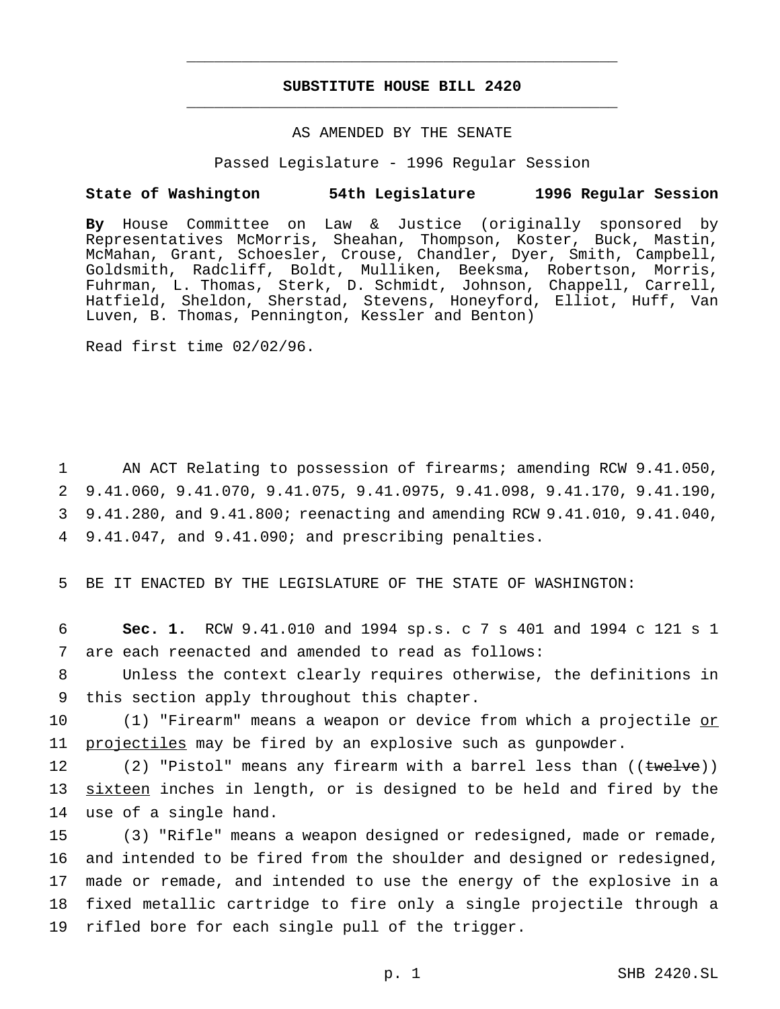# **SUBSTITUTE HOUSE BILL 2420** \_\_\_\_\_\_\_\_\_\_\_\_\_\_\_\_\_\_\_\_\_\_\_\_\_\_\_\_\_\_\_\_\_\_\_\_\_\_\_\_\_\_\_\_\_\_\_

\_\_\_\_\_\_\_\_\_\_\_\_\_\_\_\_\_\_\_\_\_\_\_\_\_\_\_\_\_\_\_\_\_\_\_\_\_\_\_\_\_\_\_\_\_\_\_

## AS AMENDED BY THE SENATE

Passed Legislature - 1996 Regular Session

#### **State of Washington 54th Legislature 1996 Regular Session**

**By** House Committee on Law & Justice (originally sponsored by Representatives McMorris, Sheahan, Thompson, Koster, Buck, Mastin, McMahan, Grant, Schoesler, Crouse, Chandler, Dyer, Smith, Campbell, Goldsmith, Radcliff, Boldt, Mulliken, Beeksma, Robertson, Morris, Fuhrman, L. Thomas, Sterk, D. Schmidt, Johnson, Chappell, Carrell, Hatfield, Sheldon, Sherstad, Stevens, Honeyford, Elliot, Huff, Van Luven, B. Thomas, Pennington, Kessler and Benton)

Read first time 02/02/96.

 AN ACT Relating to possession of firearms; amending RCW 9.41.050, 9.41.060, 9.41.070, 9.41.075, 9.41.0975, 9.41.098, 9.41.170, 9.41.190, 9.41.280, and 9.41.800; reenacting and amending RCW 9.41.010, 9.41.040, 9.41.047, and 9.41.090; and prescribing penalties.

5 BE IT ENACTED BY THE LEGISLATURE OF THE STATE OF WASHINGTON:

6 **Sec. 1.** RCW 9.41.010 and 1994 sp.s. c 7 s 401 and 1994 c 121 s 1 7 are each reenacted and amended to read as follows:

8 Unless the context clearly requires otherwise, the definitions in 9 this section apply throughout this chapter.

10 (1) "Firearm" means a weapon or device from which a projectile or 11 projectiles may be fired by an explosive such as gunpowder.

12 (2) "Pistol" means any firearm with a barrel less than ((twelve)) 13 sixteen inches in length, or is designed to be held and fired by the 14 use of a single hand.

 (3) "Rifle" means a weapon designed or redesigned, made or remade, and intended to be fired from the shoulder and designed or redesigned, made or remade, and intended to use the energy of the explosive in a fixed metallic cartridge to fire only a single projectile through a rifled bore for each single pull of the trigger.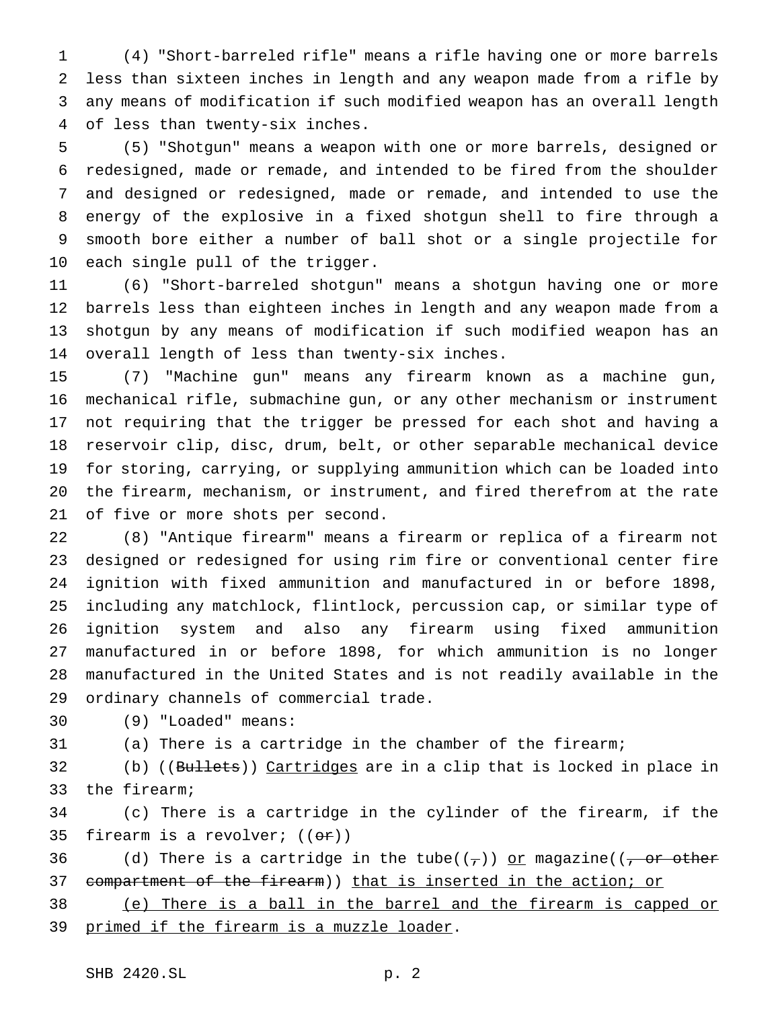(4) "Short-barreled rifle" means a rifle having one or more barrels less than sixteen inches in length and any weapon made from a rifle by any means of modification if such modified weapon has an overall length of less than twenty-six inches.

 (5) "Shotgun" means a weapon with one or more barrels, designed or redesigned, made or remade, and intended to be fired from the shoulder and designed or redesigned, made or remade, and intended to use the energy of the explosive in a fixed shotgun shell to fire through a smooth bore either a number of ball shot or a single projectile for each single pull of the trigger.

 (6) "Short-barreled shotgun" means a shotgun having one or more barrels less than eighteen inches in length and any weapon made from a shotgun by any means of modification if such modified weapon has an overall length of less than twenty-six inches.

 (7) "Machine gun" means any firearm known as a machine gun, mechanical rifle, submachine gun, or any other mechanism or instrument not requiring that the trigger be pressed for each shot and having a reservoir clip, disc, drum, belt, or other separable mechanical device for storing, carrying, or supplying ammunition which can be loaded into the firearm, mechanism, or instrument, and fired therefrom at the rate of five or more shots per second.

 (8) "Antique firearm" means a firearm or replica of a firearm not designed or redesigned for using rim fire or conventional center fire ignition with fixed ammunition and manufactured in or before 1898, including any matchlock, flintlock, percussion cap, or similar type of ignition system and also any firearm using fixed ammunition manufactured in or before 1898, for which ammunition is no longer manufactured in the United States and is not readily available in the ordinary channels of commercial trade.

(9) "Loaded" means:

(a) There is a cartridge in the chamber of the firearm;

32 (b) ((Bullets)) Cartridges are in a clip that is locked in place in the firearm;

 (c) There is a cartridge in the cylinder of the firearm, if the 35 firearm is a revolver;  $((or))$ 

36 (d) There is a cartridge in the tube( $(\tau)$ ) or magazine(( $\tau$  or other 37 compartment of the firearm)) that is inserted in the action; or

 (e) There is a ball in the barrel and the firearm is capped or 39 primed if the firearm is a muzzle loader.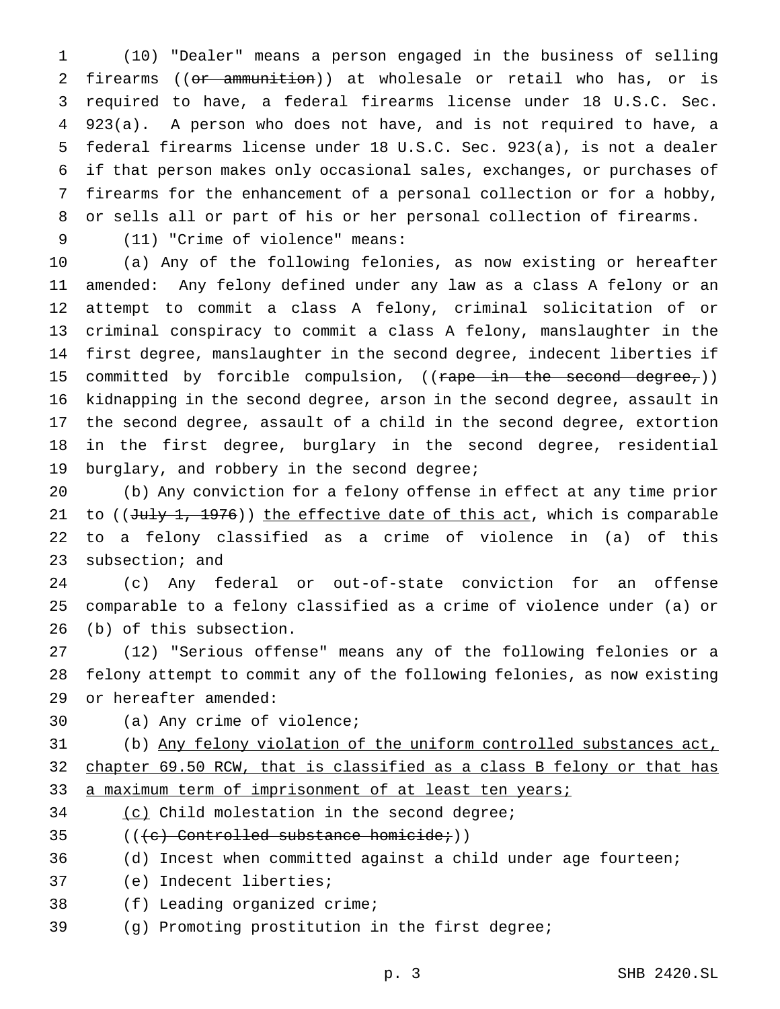(10) "Dealer" means a person engaged in the business of selling firearms ((or ammunition)) at wholesale or retail who has, or is required to have, a federal firearms license under 18 U.S.C. Sec. 923(a). A person who does not have, and is not required to have, a federal firearms license under 18 U.S.C. Sec. 923(a), is not a dealer if that person makes only occasional sales, exchanges, or purchases of firearms for the enhancement of a personal collection or for a hobby, or sells all or part of his or her personal collection of firearms.

(11) "Crime of violence" means:

 (a) Any of the following felonies, as now existing or hereafter amended: Any felony defined under any law as a class A felony or an attempt to commit a class A felony, criminal solicitation of or criminal conspiracy to commit a class A felony, manslaughter in the first degree, manslaughter in the second degree, indecent liberties if 15 committed by forcible compulsion, ((rape in the second degree,)) kidnapping in the second degree, arson in the second degree, assault in the second degree, assault of a child in the second degree, extortion in the first degree, burglary in the second degree, residential 19 burglary, and robbery in the second degree;

 (b) Any conviction for a felony offense in effect at any time prior 21 to ( $(\text{July 1}, 1976)$ ) the effective date of this act, which is comparable to a felony classified as a crime of violence in (a) of this subsection; and

 (c) Any federal or out-of-state conviction for an offense comparable to a felony classified as a crime of violence under (a) or (b) of this subsection.

 (12) "Serious offense" means any of the following felonies or a felony attempt to commit any of the following felonies, as now existing or hereafter amended:

(a) Any crime of violence;

 (b) Any felony violation of the uniform controlled substances act, chapter 69.50 RCW, that is classified as a class B felony or that has 33 a maximum term of imprisonment of at least ten years;

(c) Child molestation in the second degree;

(( $\left( e \right)$  Controlled substance homicide;))

(d) Incest when committed against a child under age fourteen;

(e) Indecent liberties;

(f) Leading organized crime;

(g) Promoting prostitution in the first degree;

p. 3 SHB 2420.SL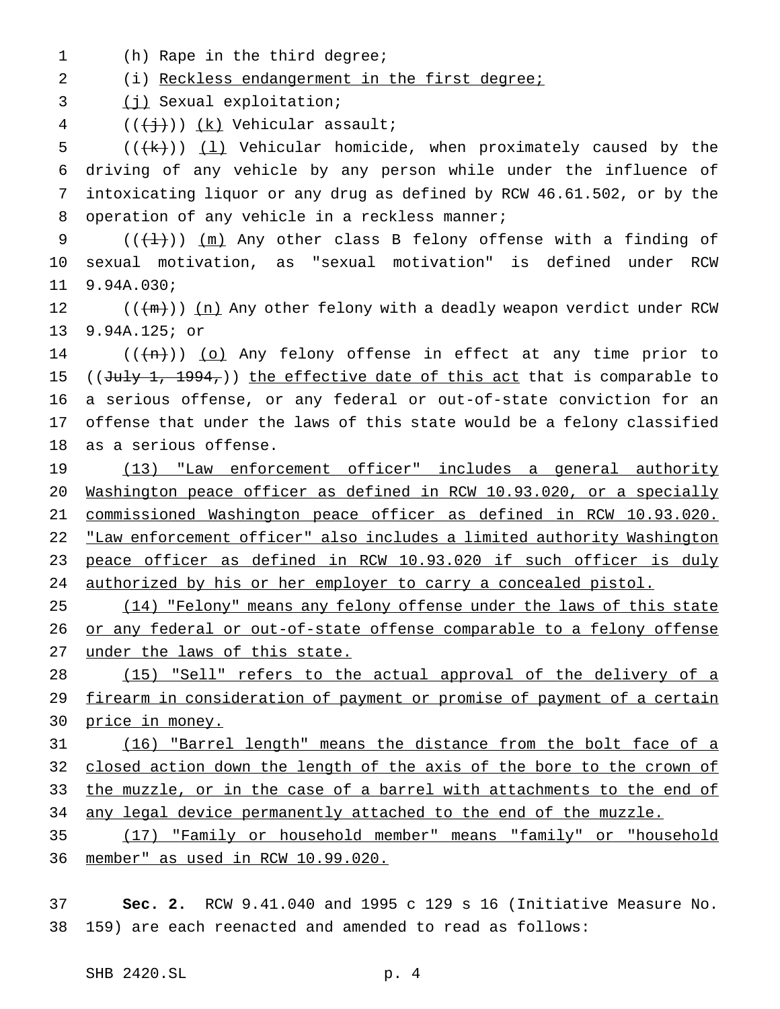(h) Rape in the third degree;

(i) Reckless endangerment in the first degree;

(j) Sexual exploitation;

 $((+\frac{1}{2})^n)(\underline{k})$  Vehicular assault;

5 ( $(\forall k)$ ) (1) Vehicular homicide, when proximately caused by the driving of any vehicle by any person while under the influence of intoxicating liquor or any drug as defined by RCW 46.61.502, or by the 8 operation of any vehicle in a reckless manner;

9  $((+1))$  (m) Any other class B felony offense with a finding of sexual motivation, as "sexual motivation" is defined under RCW 9.94A.030;

12 (( $(m)$ )) (n) Any other felony with a deadly weapon verdict under RCW 9.94A.125; or

 $((+n))$  (o) Any felony offense in effect at any time prior to 15 ((July 1, 1994,)) the effective date of this act that is comparable to a serious offense, or any federal or out-of-state conviction for an offense that under the laws of this state would be a felony classified as a serious offense.

19 (13) "Law enforcement officer" includes a general authority Washington peace officer as defined in RCW 10.93.020, or a specially commissioned Washington peace officer as defined in RCW 10.93.020. 22 "Law enforcement officer" also includes a limited authority Washington 23 peace officer as defined in RCW 10.93.020 if such officer is duly authorized by his or her employer to carry a concealed pistol.

25 (14) "Felony" means any felony offense under the laws of this state 26 or any federal or out-of-state offense comparable to a felony offense 27 under the laws of this state.

 (15) "Sell" refers to the actual approval of the delivery of a firearm in consideration of payment or promise of payment of a certain 30 price in money.

 (16) "Barrel length" means the distance from the bolt face of a closed action down the length of the axis of the bore to the crown of the muzzle, or in the case of a barrel with attachments to the end of 34 any legal device permanently attached to the end of the muzzle.

 (17) "Family or household member" means "family" or "household member" as used in RCW 10.99.020.

 **Sec. 2.** RCW 9.41.040 and 1995 c 129 s 16 (Initiative Measure No. 159) are each reenacted and amended to read as follows: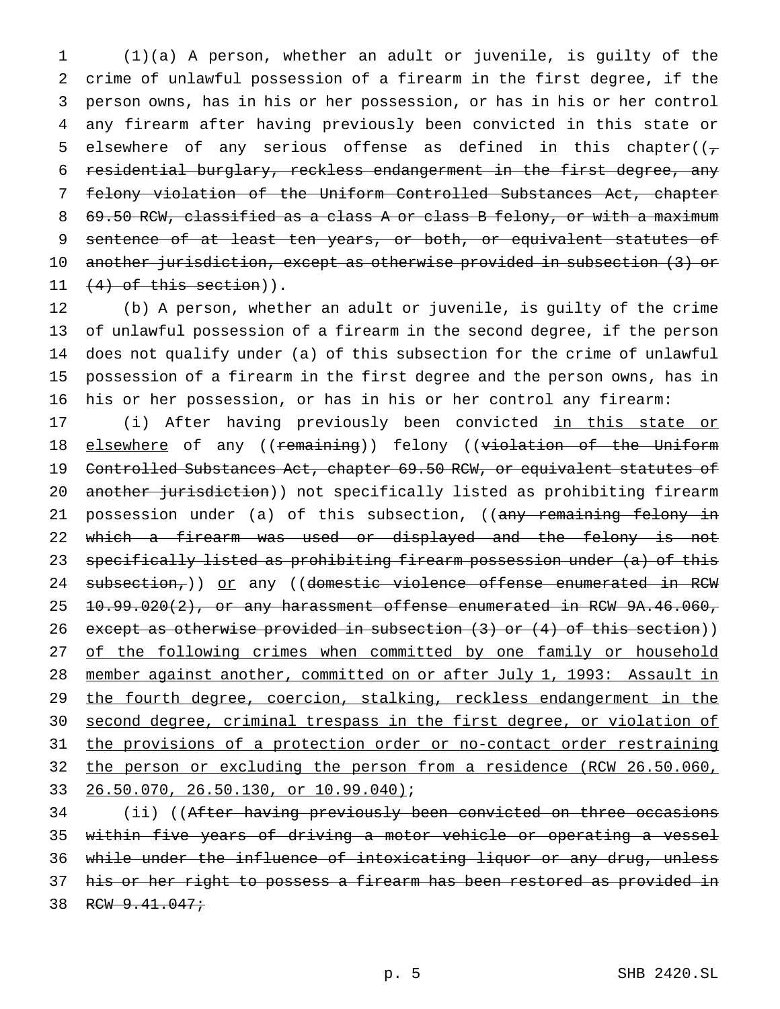(1)(a) A person, whether an adult or juvenile, is guilty of the crime of unlawful possession of a firearm in the first degree, if the person owns, has in his or her possession, or has in his or her control any firearm after having previously been convicted in this state or 5 elsewhere of any serious offense as defined in this chapter( $(\tau$  residential burglary, reckless endangerment in the first degree, any felony violation of the Uniform Controlled Substances Act, chapter 8 69.50 RCW, classified as a class A or class B felony, or with a maximum 9 sentence of at least ten years, or both, or equivalent statutes of another jurisdiction, except as otherwise provided in subsection (3) or  $(4)$  of this section)).

 (b) A person, whether an adult or juvenile, is guilty of the crime of unlawful possession of a firearm in the second degree, if the person does not qualify under (a) of this subsection for the crime of unlawful possession of a firearm in the first degree and the person owns, has in his or her possession, or has in his or her control any firearm:

17 (i) After having previously been convicted in this state or 18 elsewhere of any ((remaining)) felony ((violation of the Uniform 19 Controlled Substances Act, chapter 69.50 RCW, or equivalent statutes of 20 another jurisdiction)) not specifically listed as prohibiting firearm 21 possession under (a) of this subsection, ((any remaining felony in 22 which a firearm was used or displayed and the felony is not 23 specifically listed as prohibiting firearm possession under (a) of this 24 subsection,)) or any ((domestic violence offense enumerated in RCW 25 10.99.020(2), or any harassment offense enumerated in RCW 9A.46.060, 26 except as otherwise provided in subsection (3) or (4) of this section)) 27 of the following crimes when committed by one family or household 28 member against another, committed on or after July 1, 1993: Assault in 29 the fourth degree, coercion, stalking, reckless endangerment in the 30 second degree, criminal trespass in the first degree, or violation of 31 the provisions of a protection order or no-contact order restraining 32 the person or excluding the person from a residence (RCW 26.50.060, 33 26.50.070, 26.50.130, or 10.99.040);

34 (ii) ((After having previously been convicted on three occasions 35 within five years of driving a motor vehicle or operating a vessel 36 while under the influence of intoxicating liquor or any drug, unless 37 his or her right to possess a firearm has been restored as provided in 38 RCW 9.41.047;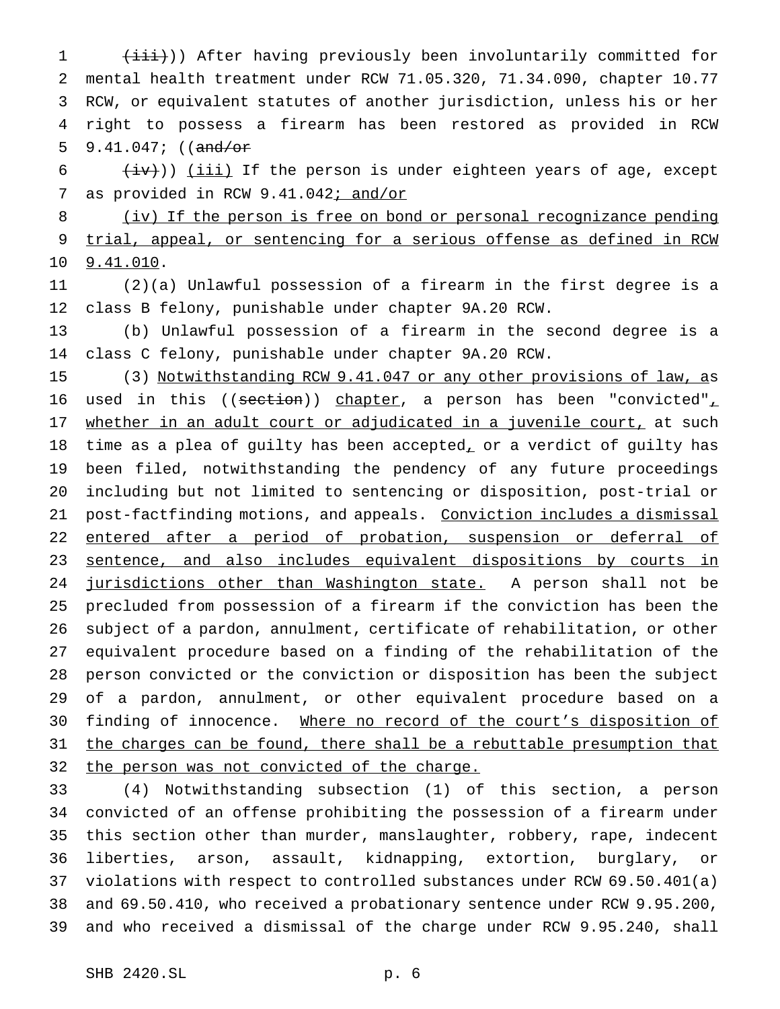1 (iii))) After having previously been involuntarily committed for mental health treatment under RCW 71.05.320, 71.34.090, chapter 10.77 RCW, or equivalent statutes of another jurisdiction, unless his or her right to possess a firearm has been restored as provided in RCW 5 9.41.047;  $((and/or$ 

  $\left(\frac{iv}{iv}\right)$ ) (iii) If the person is under eighteen years of age, except 7 as provided in RCW 9.41.042; and/or

 (iv) If the person is free on bond or personal recognizance pending trial, appeal, or sentencing for a serious offense as defined in RCW 9.41.010.

 (2)(a) Unlawful possession of a firearm in the first degree is a class B felony, punishable under chapter 9A.20 RCW.

 (b) Unlawful possession of a firearm in the second degree is a class C felony, punishable under chapter 9A.20 RCW.

 (3) Notwithstanding RCW 9.41.047 or any other provisions of law, as 16 used in this ((section)) chapter, a person has been "convicted", 17 whether in an adult court or adjudicated in a juvenile court, at such time as a plea of guilty has been accepted, or a verdict of guilty has been filed, notwithstanding the pendency of any future proceedings including but not limited to sentencing or disposition, post-trial or 21 post-factfinding motions, and appeals. Conviction includes a dismissal 22 entered after a period of probation, suspension or deferral of 23 sentence, and also includes equivalent dispositions by courts in 24 jurisdictions other than Washington state. A person shall not be precluded from possession of a firearm if the conviction has been the subject of a pardon, annulment, certificate of rehabilitation, or other equivalent procedure based on a finding of the rehabilitation of the person convicted or the conviction or disposition has been the subject of a pardon, annulment, or other equivalent procedure based on a 30 finding of innocence. Where no record of the court's disposition of the charges can be found, there shall be a rebuttable presumption that 32 the person was not convicted of the charge.

 (4) Notwithstanding subsection (1) of this section, a person convicted of an offense prohibiting the possession of a firearm under this section other than murder, manslaughter, robbery, rape, indecent liberties, arson, assault, kidnapping, extortion, burglary, or violations with respect to controlled substances under RCW 69.50.401(a) and 69.50.410, who received a probationary sentence under RCW 9.95.200, and who received a dismissal of the charge under RCW 9.95.240, shall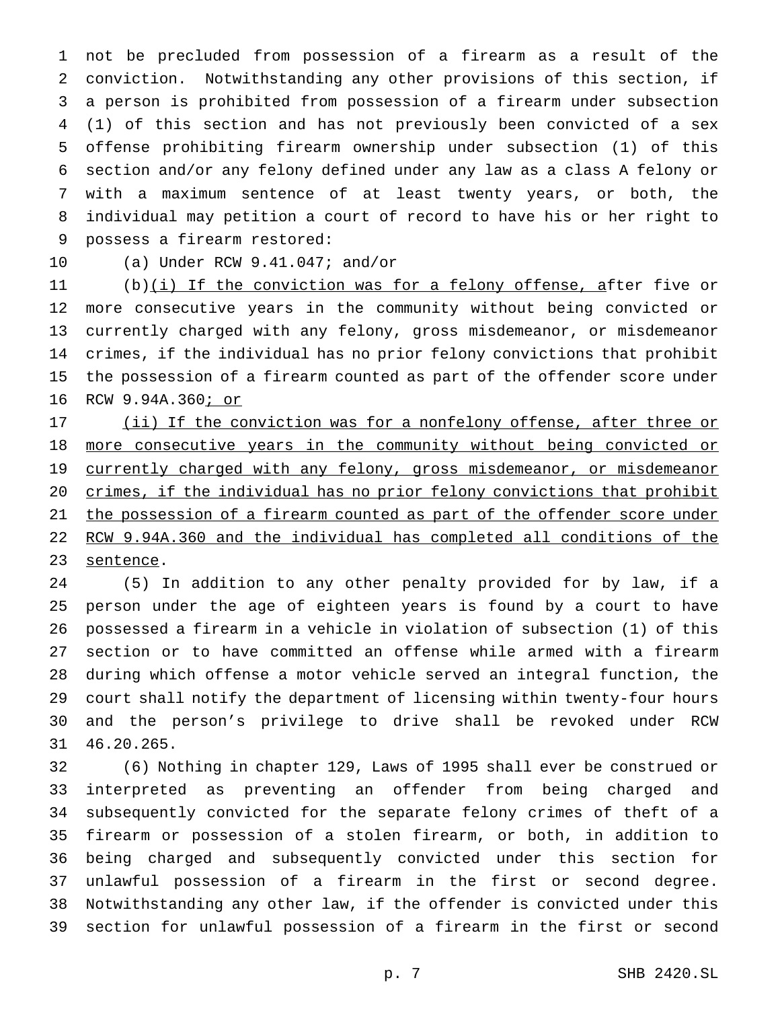not be precluded from possession of a firearm as a result of the conviction. Notwithstanding any other provisions of this section, if a person is prohibited from possession of a firearm under subsection (1) of this section and has not previously been convicted of a sex offense prohibiting firearm ownership under subsection (1) of this section and/or any felony defined under any law as a class A felony or with a maximum sentence of at least twenty years, or both, the individual may petition a court of record to have his or her right to possess a firearm restored:

(a) Under RCW 9.41.047; and/or

11 (b)(i) If the conviction was for a felony offense, after five or more consecutive years in the community without being convicted or currently charged with any felony, gross misdemeanor, or misdemeanor crimes, if the individual has no prior felony convictions that prohibit the possession of a firearm counted as part of the offender score under RCW 9.94A.360; or

17 (ii) If the conviction was for a nonfelony offense, after three or 18 more consecutive years in the community without being convicted or 19 currently charged with any felony, gross misdemeanor, or misdemeanor crimes, if the individual has no prior felony convictions that prohibit the possession of a firearm counted as part of the offender score under RCW 9.94A.360 and the individual has completed all conditions of the 23 sentence.

 (5) In addition to any other penalty provided for by law, if a person under the age of eighteen years is found by a court to have possessed a firearm in a vehicle in violation of subsection (1) of this section or to have committed an offense while armed with a firearm during which offense a motor vehicle served an integral function, the court shall notify the department of licensing within twenty-four hours and the person's privilege to drive shall be revoked under RCW 46.20.265.

 (6) Nothing in chapter 129, Laws of 1995 shall ever be construed or interpreted as preventing an offender from being charged and subsequently convicted for the separate felony crimes of theft of a firearm or possession of a stolen firearm, or both, in addition to being charged and subsequently convicted under this section for unlawful possession of a firearm in the first or second degree. Notwithstanding any other law, if the offender is convicted under this section for unlawful possession of a firearm in the first or second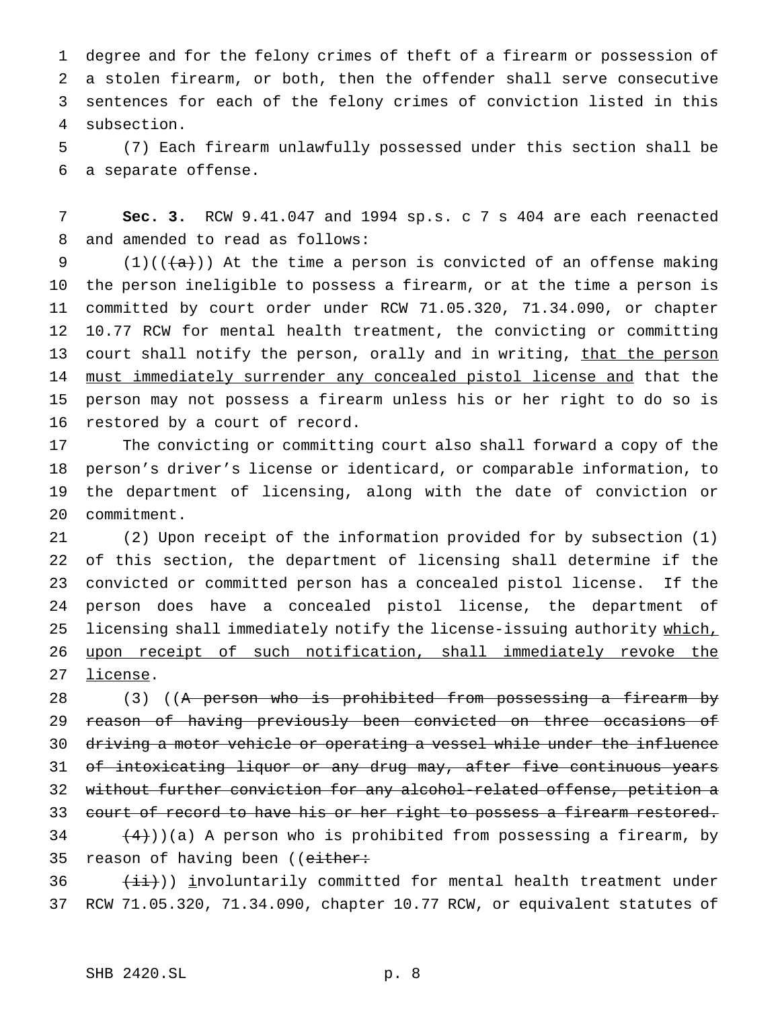degree and for the felony crimes of theft of a firearm or possession of a stolen firearm, or both, then the offender shall serve consecutive sentences for each of the felony crimes of conviction listed in this subsection.

 (7) Each firearm unlawfully possessed under this section shall be a separate offense.

 **Sec. 3.** RCW 9.41.047 and 1994 sp.s. c 7 s 404 are each reenacted and amended to read as follows:

9 (1)(( $\frac{1}{a}$ )) At the time a person is convicted of an offense making the person ineligible to possess a firearm, or at the time a person is committed by court order under RCW 71.05.320, 71.34.090, or chapter 10.77 RCW for mental health treatment, the convicting or committing 13 court shall notify the person, orally and in writing, that the person must immediately surrender any concealed pistol license and that the person may not possess a firearm unless his or her right to do so is restored by a court of record.

 The convicting or committing court also shall forward a copy of the person's driver's license or identicard, or comparable information, to the department of licensing, along with the date of conviction or commitment.

 (2) Upon receipt of the information provided for by subsection (1) of this section, the department of licensing shall determine if the convicted or committed person has a concealed pistol license. If the person does have a concealed pistol license, the department of 25 licensing shall immediately notify the license-issuing authority which, upon receipt of such notification, shall immediately revoke the license.

28 (3) ((<del>A person who is prohibited from possessing a firearm by</del> reason of having previously been convicted on three occasions of driving a motor vehicle or operating a vessel while under the influence of intoxicating liquor or any drug may, after five continuous years without further conviction for any alcohol-related offense, petition a 33 court of record to have his or her right to possess a firearm restored.  $(4)$ ))(a) A person who is prohibited from possessing a firearm, by 35 reason of having been ((either:

  $(iii)$ ) involuntarily committed for mental health treatment under RCW 71.05.320, 71.34.090, chapter 10.77 RCW, or equivalent statutes of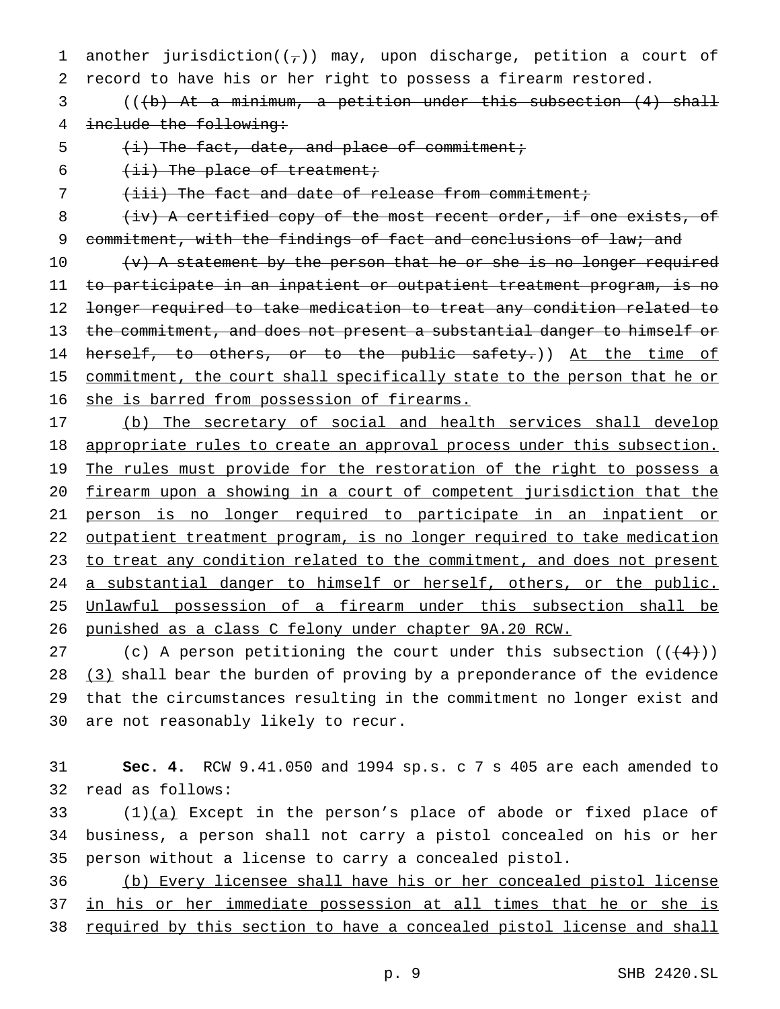1 another jurisdiction( $(\tau)$ ) may, upon discharge, petition a court of record to have his or her right to possess a firearm restored.

 (((b) At a minimum, a petition under this subsection (4) shall include the following:

5  $(i)$  The fact, date, and place of commitment;

 $(i\texttt{i})$  The place of treatment;

(iii) The fact and date of release from commitment;

8 (iv) A certified copy of the most recent order, if one exists, of 9 commitment, with the findings of fact and conclusions of law; and

 $(v)$  A statement by the person that he or she is no longer required to participate in an inpatient or outpatient treatment program, is no longer required to take medication to treat any condition related to 13 the commitment, and does not present a substantial danger to himself or 14 herself, to others, or to the public safety.)) At the time of 15 commitment, the court shall specifically state to the person that he or she is barred from possession of firearms.

 (b) The secretary of social and health services shall develop 18 appropriate rules to create an approval process under this subsection. 19 The rules must provide for the restoration of the right to possess a firearm upon a showing in a court of competent jurisdiction that the person is no longer required to participate in an inpatient or outpatient treatment program, is no longer required to take medication 23 to treat any condition related to the commitment, and does not present a substantial danger to himself or herself, others, or the public. Unlawful possession of a firearm under this subsection shall be punished as a class C felony under chapter 9A.20 RCW.

27 (c) A person petitioning the court under this subsection  $((+4))$ 28 (3) shall bear the burden of proving by a preponderance of the evidence that the circumstances resulting in the commitment no longer exist and are not reasonably likely to recur.

 **Sec. 4.** RCW 9.41.050 and 1994 sp.s. c 7 s 405 are each amended to read as follows:

33  $(1)(a)$  Except in the person's place of abode or fixed place of business, a person shall not carry a pistol concealed on his or her person without a license to carry a concealed pistol.

 (b) Every licensee shall have his or her concealed pistol license in his or her immediate possession at all times that he or she is 38 required by this section to have a concealed pistol license and shall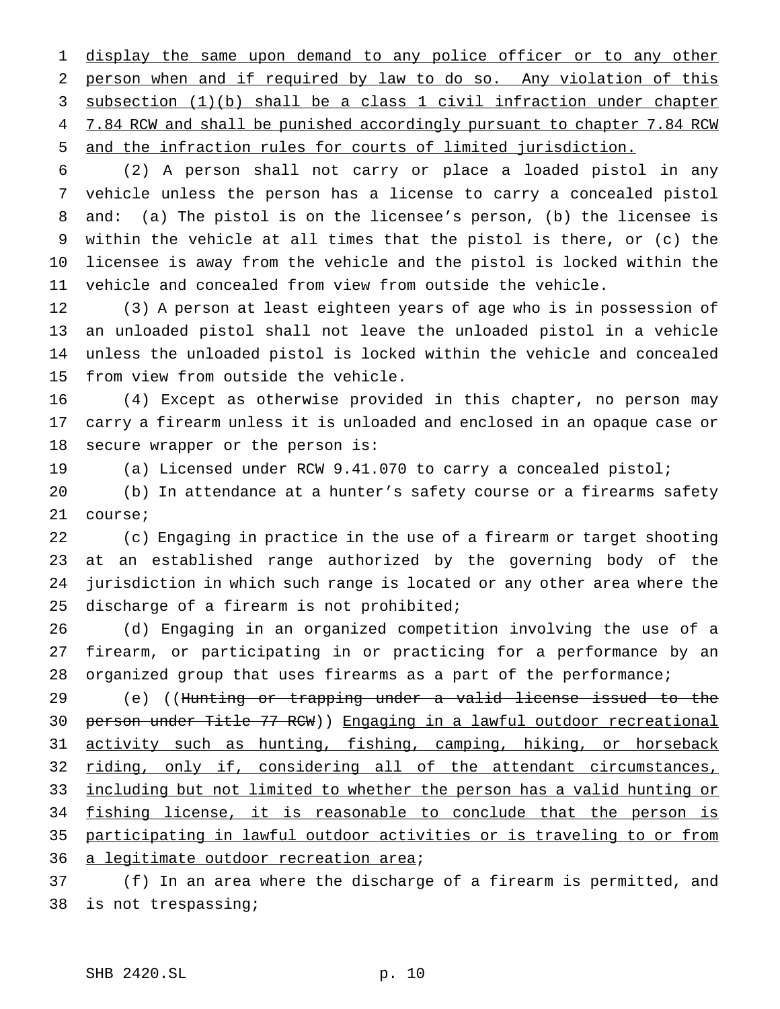1 display the same upon demand to any police officer or to any other 2 person when and if required by law to do so. Any violation of this subsection (1)(b) shall be a class 1 civil infraction under chapter 4 7.84 RCW and shall be punished accordingly pursuant to chapter 7.84 RCW and the infraction rules for courts of limited jurisdiction.

 (2) A person shall not carry or place a loaded pistol in any vehicle unless the person has a license to carry a concealed pistol and: (a) The pistol is on the licensee's person, (b) the licensee is within the vehicle at all times that the pistol is there, or (c) the licensee is away from the vehicle and the pistol is locked within the vehicle and concealed from view from outside the vehicle.

 (3) A person at least eighteen years of age who is in possession of an unloaded pistol shall not leave the unloaded pistol in a vehicle unless the unloaded pistol is locked within the vehicle and concealed from view from outside the vehicle.

 (4) Except as otherwise provided in this chapter, no person may carry a firearm unless it is unloaded and enclosed in an opaque case or secure wrapper or the person is:

(a) Licensed under RCW 9.41.070 to carry a concealed pistol;

 (b) In attendance at a hunter's safety course or a firearms safety course;

 (c) Engaging in practice in the use of a firearm or target shooting at an established range authorized by the governing body of the jurisdiction in which such range is located or any other area where the discharge of a firearm is not prohibited;

 (d) Engaging in an organized competition involving the use of a firearm, or participating in or practicing for a performance by an organized group that uses firearms as a part of the performance;

 (e) ((Hunting or trapping under a valid license issued to the person under Title 77 RCW)) Engaging in a lawful outdoor recreational 31 activity such as hunting, fishing, camping, hiking, or horseback 32 riding, only if, considering all of the attendant circumstances, including but not limited to whether the person has a valid hunting or 34 fishing license, it is reasonable to conclude that the person is participating in lawful outdoor activities or is traveling to or from 36 a legitimate outdoor recreation area;

 (f) In an area where the discharge of a firearm is permitted, and is not trespassing;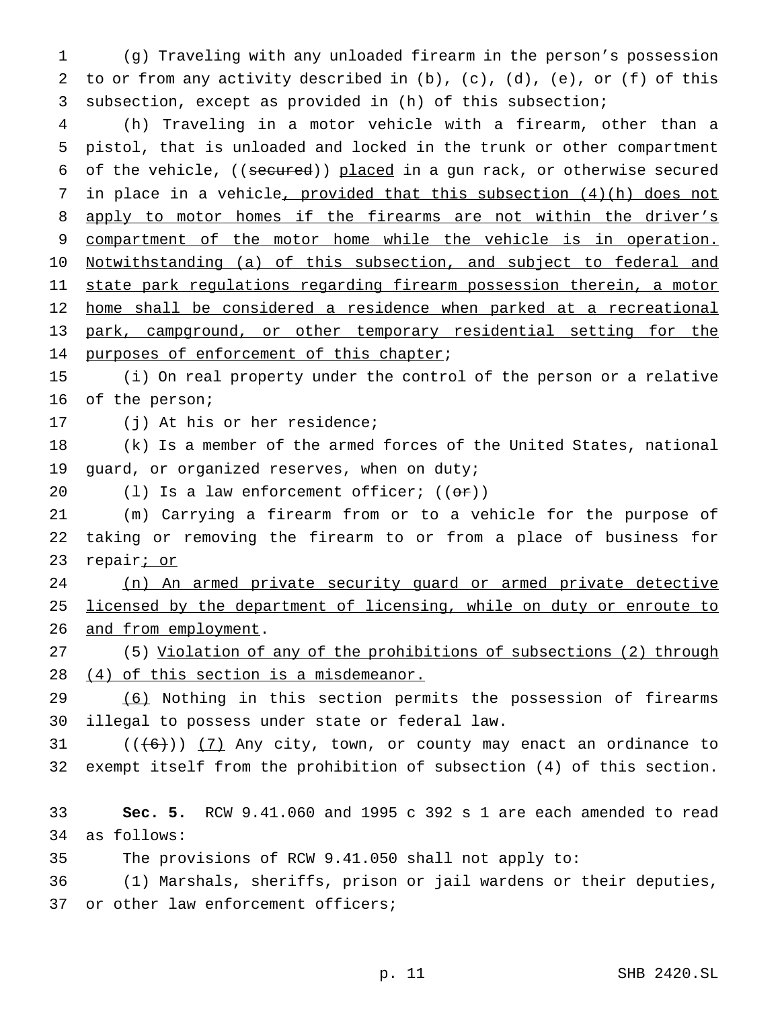(g) Traveling with any unloaded firearm in the person's possession to or from any activity described in (b), (c), (d), (e), or (f) of this subsection, except as provided in (h) of this subsection;

 (h) Traveling in a motor vehicle with a firearm, other than a pistol, that is unloaded and locked in the trunk or other compartment 6 of the vehicle, ((secured)) placed in a gun rack, or otherwise secured 7 in place in a vehicle, provided that this subsection (4)(h) does not 8 apply to motor homes if the firearms are not within the driver's 9 compartment of the motor home while the vehicle is in operation. 10 Notwithstanding (a) of this subsection, and subject to federal and 11 state park regulations regarding firearm possession therein, a motor 12 home shall be considered a residence when parked at a recreational park, campground, or other temporary residential setting for the 14 purposes of enforcement of this chapter;

 (i) On real property under the control of the person or a relative of the person;

(j) At his or her residence;

 (k) Is a member of the armed forces of the United States, national guard, or organized reserves, when on duty;

20 (1) Is a law enforcement officer;  $((\theta \hat{r}))$ 

 (m) Carrying a firearm from or to a vehicle for the purpose of taking or removing the firearm to or from a place of business for 23 repair<u>; or</u>

 (n) An armed private security guard or armed private detective 25 licensed by the department of licensing, while on duty or enroute to 26 and from employment.

 (5) Violation of any of the prohibitions of subsections (2) through (4) of this section is a misdemeanor.

 (6) Nothing in this section permits the possession of firearms illegal to possess under state or federal law.

 (( $(6)$ )) (7) Any city, town, or county may enact an ordinance to exempt itself from the prohibition of subsection (4) of this section.

 **Sec. 5.** RCW 9.41.060 and 1995 c 392 s 1 are each amended to read as follows:

The provisions of RCW 9.41.050 shall not apply to:

 (1) Marshals, sheriffs, prison or jail wardens or their deputies, 37 or other law enforcement officers;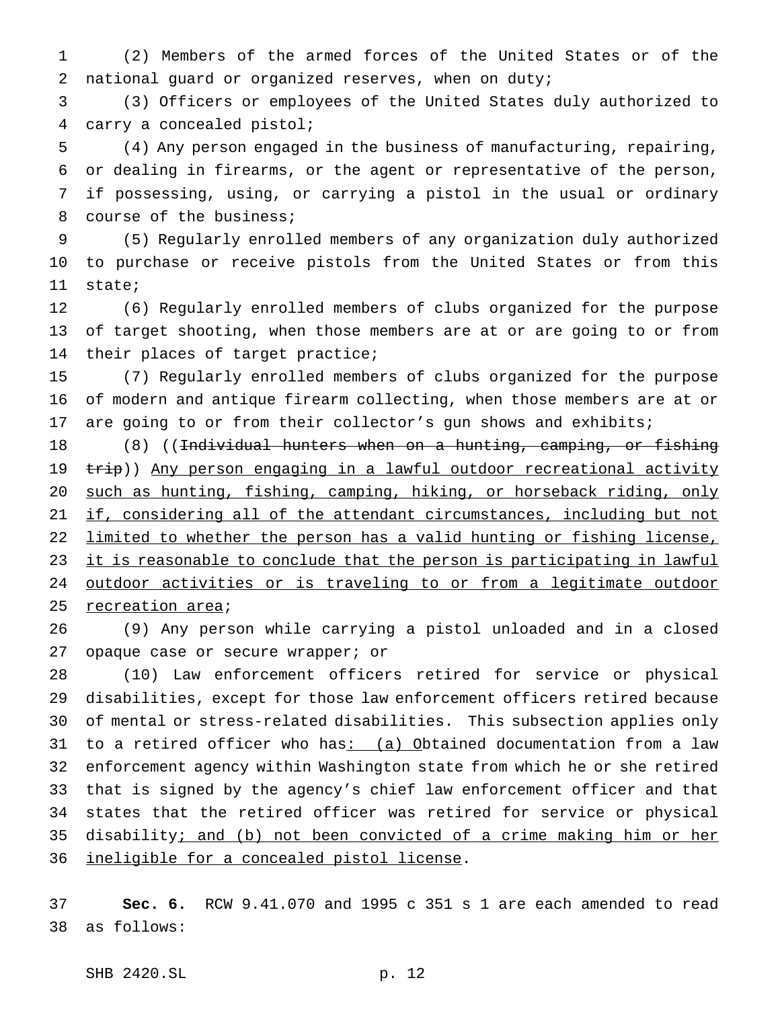(2) Members of the armed forces of the United States or of the national guard or organized reserves, when on duty;

 (3) Officers or employees of the United States duly authorized to carry a concealed pistol;

 (4) Any person engaged in the business of manufacturing, repairing, or dealing in firearms, or the agent or representative of the person, if possessing, using, or carrying a pistol in the usual or ordinary course of the business;

 (5) Regularly enrolled members of any organization duly authorized to purchase or receive pistols from the United States or from this state;

 (6) Regularly enrolled members of clubs organized for the purpose of target shooting, when those members are at or are going to or from their places of target practice;

 (7) Regularly enrolled members of clubs organized for the purpose of modern and antique firearm collecting, when those members are at or are going to or from their collector's gun shows and exhibits;

18 (8) ((Individual hunters when on a hunting, camping, or fishing 19 trip)) Any person engaging in a lawful outdoor recreational activity such as hunting, fishing, camping, hiking, or horseback riding, only 21 if, considering all of the attendant circumstances, including but not limited to whether the person has a valid hunting or fishing license, 23 it is reasonable to conclude that the person is participating in lawful 24 outdoor activities or is traveling to or from a legitimate outdoor 25 recreation area;

 (9) Any person while carrying a pistol unloaded and in a closed 27 opaque case or secure wrapper; or

 (10) Law enforcement officers retired for service or physical disabilities, except for those law enforcement officers retired because of mental or stress-related disabilities. This subsection applies only to a retired officer who has: (a) Obtained documentation from a law enforcement agency within Washington state from which he or she retired that is signed by the agency's chief law enforcement officer and that states that the retired officer was retired for service or physical disability; and (b) not been convicted of a crime making him or her ineligible for a concealed pistol license.

 **Sec. 6.** RCW 9.41.070 and 1995 c 351 s 1 are each amended to read as follows: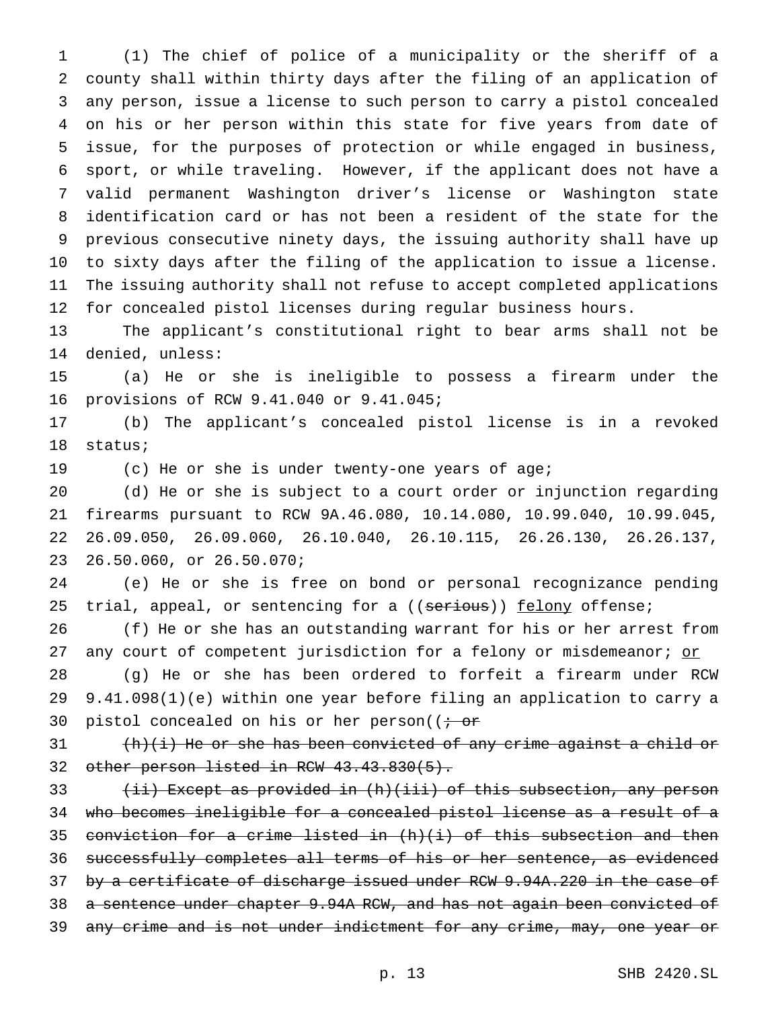(1) The chief of police of a municipality or the sheriff of a county shall within thirty days after the filing of an application of any person, issue a license to such person to carry a pistol concealed on his or her person within this state for five years from date of issue, for the purposes of protection or while engaged in business, sport, or while traveling. However, if the applicant does not have a valid permanent Washington driver's license or Washington state identification card or has not been a resident of the state for the previous consecutive ninety days, the issuing authority shall have up to sixty days after the filing of the application to issue a license. The issuing authority shall not refuse to accept completed applications for concealed pistol licenses during regular business hours.

 The applicant's constitutional right to bear arms shall not be denied, unless:

 (a) He or she is ineligible to possess a firearm under the provisions of RCW 9.41.040 or 9.41.045;

 (b) The applicant's concealed pistol license is in a revoked status;

(c) He or she is under twenty-one years of age;

 (d) He or she is subject to a court order or injunction regarding firearms pursuant to RCW 9A.46.080, 10.14.080, 10.99.040, 10.99.045, 26.09.050, 26.09.060, 26.10.040, 26.10.115, 26.26.130, 26.26.137, 26.50.060, or 26.50.070;

 (e) He or she is free on bond or personal recognizance pending 25 trial, appeal, or sentencing for a ((serious)) felony offense;

 (f) He or she has an outstanding warrant for his or her arrest from 27 any court of competent jurisdiction for a felony or misdemeanor; or

 (g) He or she has been ordered to forfeit a firearm under RCW 9.41.098(1)(e) within one year before filing an application to carry a 30 pistol concealed on his or her person( $\ddot{\textbf{i}}$ 

 (h)(i) He or she has been convicted of any crime against a child or 32 other person listed in RCW 43.43.830(5).

33 (ii) Except as provided in (h)(iii) of this subsection, any person who becomes ineligible for a concealed pistol license as a result of a 35 conviction for a crime listed in  $(h)(i)$  of this subsection and then successfully completes all terms of his or her sentence, as evidenced 37 by a certificate of discharge issued under RCW 9.94A.220 in the case of a sentence under chapter 9.94A RCW, and has not again been convicted of 39 any crime and is not under indictment for any crime, may, one year or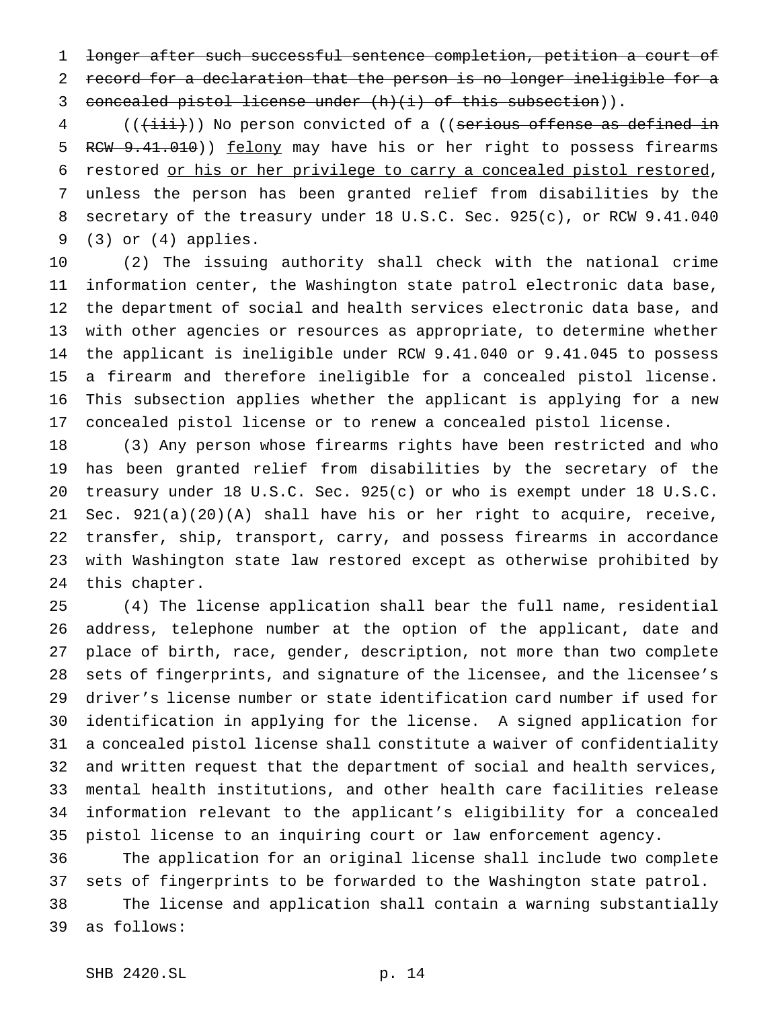longer after such successful sentence completion, petition a court of record for a declaration that the person is no longer ineligible for a concealed pistol license under (h)(i) of this subsection)).

4 (( $(\overrightarrow{\text{iii}})$ ) No person convicted of a ((serious offense as defined in 5 RCW 9.41.010)) felony may have his or her right to possess firearms restored or his or her privilege to carry a concealed pistol restored, unless the person has been granted relief from disabilities by the secretary of the treasury under 18 U.S.C. Sec. 925(c), or RCW 9.41.040 (3) or (4) applies.

 (2) The issuing authority shall check with the national crime information center, the Washington state patrol electronic data base, the department of social and health services electronic data base, and with other agencies or resources as appropriate, to determine whether the applicant is ineligible under RCW 9.41.040 or 9.41.045 to possess a firearm and therefore ineligible for a concealed pistol license. This subsection applies whether the applicant is applying for a new concealed pistol license or to renew a concealed pistol license.

 (3) Any person whose firearms rights have been restricted and who has been granted relief from disabilities by the secretary of the treasury under 18 U.S.C. Sec. 925(c) or who is exempt under 18 U.S.C. Sec. 921(a)(20)(A) shall have his or her right to acquire, receive, transfer, ship, transport, carry, and possess firearms in accordance with Washington state law restored except as otherwise prohibited by this chapter.

 (4) The license application shall bear the full name, residential address, telephone number at the option of the applicant, date and place of birth, race, gender, description, not more than two complete sets of fingerprints, and signature of the licensee, and the licensee's driver's license number or state identification card number if used for identification in applying for the license. A signed application for a concealed pistol license shall constitute a waiver of confidentiality and written request that the department of social and health services, mental health institutions, and other health care facilities release information relevant to the applicant's eligibility for a concealed pistol license to an inquiring court or law enforcement agency.

 The application for an original license shall include two complete sets of fingerprints to be forwarded to the Washington state patrol. The license and application shall contain a warning substantially

as follows: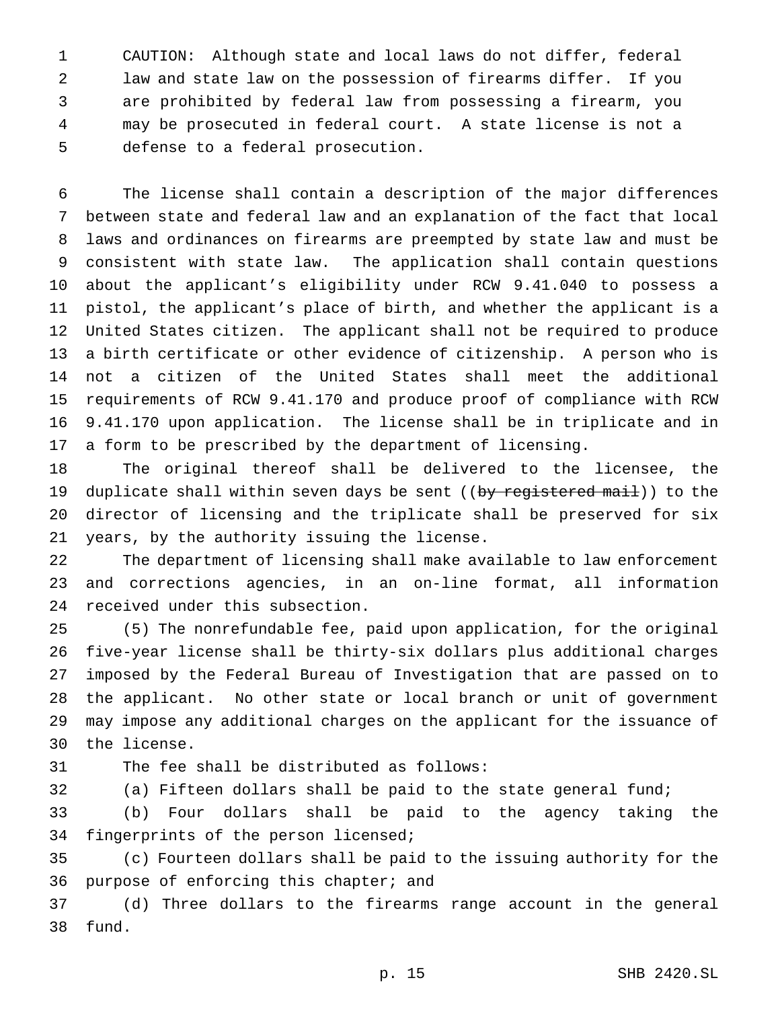CAUTION: Although state and local laws do not differ, federal law and state law on the possession of firearms differ. If you are prohibited by federal law from possessing a firearm, you may be prosecuted in federal court. A state license is not a defense to a federal prosecution.

 The license shall contain a description of the major differences between state and federal law and an explanation of the fact that local laws and ordinances on firearms are preempted by state law and must be consistent with state law. The application shall contain questions about the applicant's eligibility under RCW 9.41.040 to possess a pistol, the applicant's place of birth, and whether the applicant is a United States citizen. The applicant shall not be required to produce a birth certificate or other evidence of citizenship. A person who is not a citizen of the United States shall meet the additional requirements of RCW 9.41.170 and produce proof of compliance with RCW 9.41.170 upon application. The license shall be in triplicate and in a form to be prescribed by the department of licensing.

 The original thereof shall be delivered to the licensee, the 19 duplicate shall within seven days be sent ((by registered mail)) to the director of licensing and the triplicate shall be preserved for six years, by the authority issuing the license.

 The department of licensing shall make available to law enforcement and corrections agencies, in an on-line format, all information received under this subsection.

 (5) The nonrefundable fee, paid upon application, for the original five-year license shall be thirty-six dollars plus additional charges imposed by the Federal Bureau of Investigation that are passed on to the applicant. No other state or local branch or unit of government may impose any additional charges on the applicant for the issuance of the license.

The fee shall be distributed as follows:

(a) Fifteen dollars shall be paid to the state general fund;

 (b) Four dollars shall be paid to the agency taking the fingerprints of the person licensed;

 (c) Fourteen dollars shall be paid to the issuing authority for the purpose of enforcing this chapter; and

 (d) Three dollars to the firearms range account in the general fund.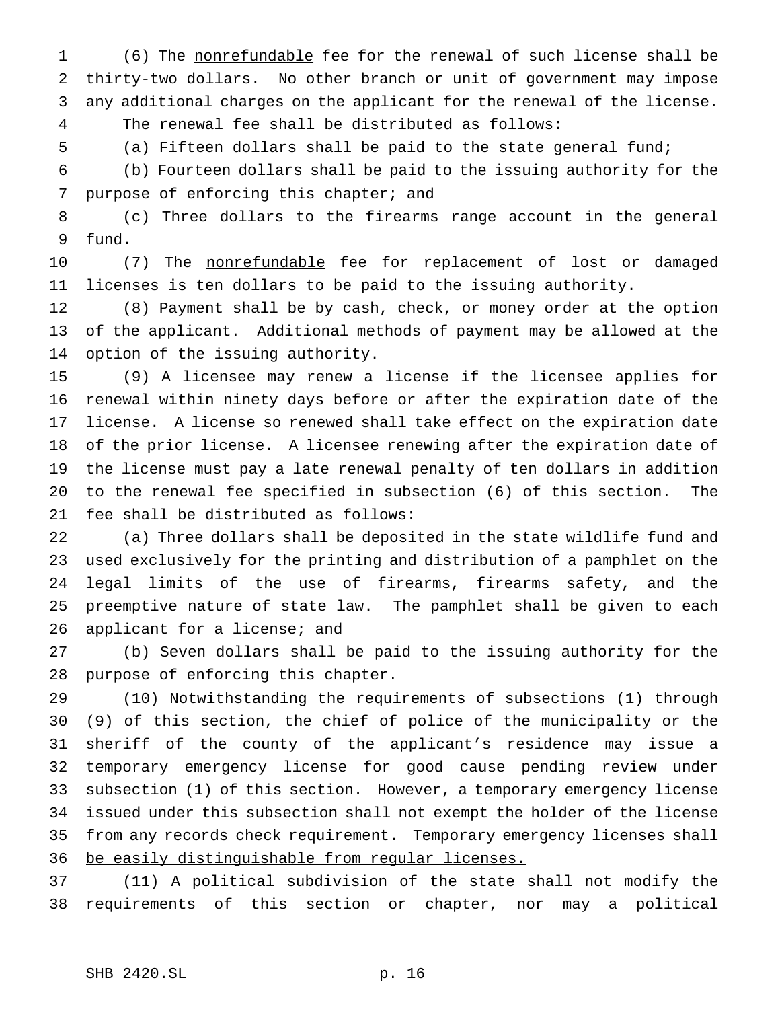(6) The nonrefundable fee for the renewal of such license shall be thirty-two dollars. No other branch or unit of government may impose any additional charges on the applicant for the renewal of the license. The renewal fee shall be distributed as follows:

(a) Fifteen dollars shall be paid to the state general fund;

 (b) Fourteen dollars shall be paid to the issuing authority for the purpose of enforcing this chapter; and

 (c) Three dollars to the firearms range account in the general fund.

10 (7) The nonrefundable fee for replacement of lost or damaged licenses is ten dollars to be paid to the issuing authority.

 (8) Payment shall be by cash, check, or money order at the option of the applicant. Additional methods of payment may be allowed at the option of the issuing authority.

 (9) A licensee may renew a license if the licensee applies for renewal within ninety days before or after the expiration date of the license. A license so renewed shall take effect on the expiration date of the prior license. A licensee renewing after the expiration date of the license must pay a late renewal penalty of ten dollars in addition to the renewal fee specified in subsection (6) of this section. The fee shall be distributed as follows:

 (a) Three dollars shall be deposited in the state wildlife fund and used exclusively for the printing and distribution of a pamphlet on the legal limits of the use of firearms, firearms safety, and the preemptive nature of state law. The pamphlet shall be given to each 26 applicant for a license; and

 (b) Seven dollars shall be paid to the issuing authority for the purpose of enforcing this chapter.

 (10) Notwithstanding the requirements of subsections (1) through (9) of this section, the chief of police of the municipality or the sheriff of the county of the applicant's residence may issue a temporary emergency license for good cause pending review under 33 subsection (1) of this section. However, a temporary emergency license issued under this subsection shall not exempt the holder of the license 35 from any records check requirement. Temporary emergency licenses shall be easily distinguishable from regular licenses.

 (11) A political subdivision of the state shall not modify the requirements of this section or chapter, nor may a political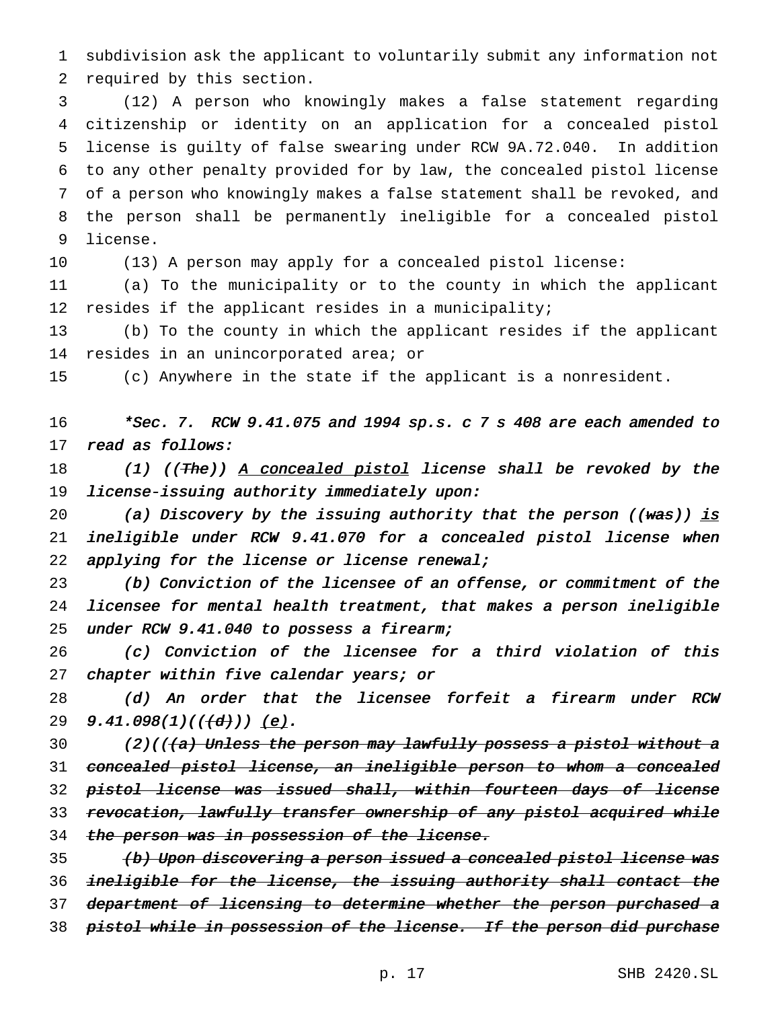1 subdivision ask the applicant to voluntarily submit any information not 2 required by this section.

 (12) A person who knowingly makes a false statement regarding citizenship or identity on an application for a concealed pistol license is guilty of false swearing under RCW 9A.72.040. In addition to any other penalty provided for by law, the concealed pistol license of a person who knowingly makes a false statement shall be revoked, and the person shall be permanently ineligible for a concealed pistol 9 license.

10 (13) A person may apply for a concealed pistol license:

11 (a) To the municipality or to the county in which the applicant 12 resides if the applicant resides in a municipality;

13 (b) To the county in which the applicant resides if the applicant 14 resides in an unincorporated area; or

15 (c) Anywhere in the state if the applicant is a nonresident.

16 \*Sec. 7. RCW 9.41.075 and <sup>1994</sup> sp.s. <sup>c</sup> <sup>7</sup> <sup>s</sup> <sup>408</sup> are each amended to 17 read as follows:

18 (1) ((The)) A concealed pistol license shall be revoked by the 19 license-issuing authority immediately upon:

20 (a) Discovery by the issuing authority that the person  $((wa s))$  is 21 ineligible under RCW 9.41.070 for <sup>a</sup> concealed pistol license when 22 applying for the license or license renewal;

23 (b) Conviction of the licensee of an offense, or commitment of the 24 licensee for mental health treatment, that makes <sup>a</sup> person ineligible 25 under RCW 9.41.040 to possess a firearm;

26 (c) Conviction of the licensee for <sup>a</sup> third violation of this 27 chapter within five calendar years; or

28 (d) An order that the licensee forfeit <sup>a</sup> firearm under RCW 29  $9.41.098(1)((\{d\}))$  (e).

30 (2)(((a) Unless the person may lawfully possess a pistol without a 31 concealed pistol license, an ineligible person to whom <sup>a</sup> concealed 32 pistol license was issued shall, within fourteen days of license 33 revocation, lawfully transfer ownership of any pistol acquired while 34 the person was in possession of the license.

35 (b) Upon discovering a person issued a concealed pistol license was 36 ineligible for the license, the issuing authority shall contact the 37 department of licensing to determine whether the person purchased a 38 pistol while in possession of the license. If the person did purchase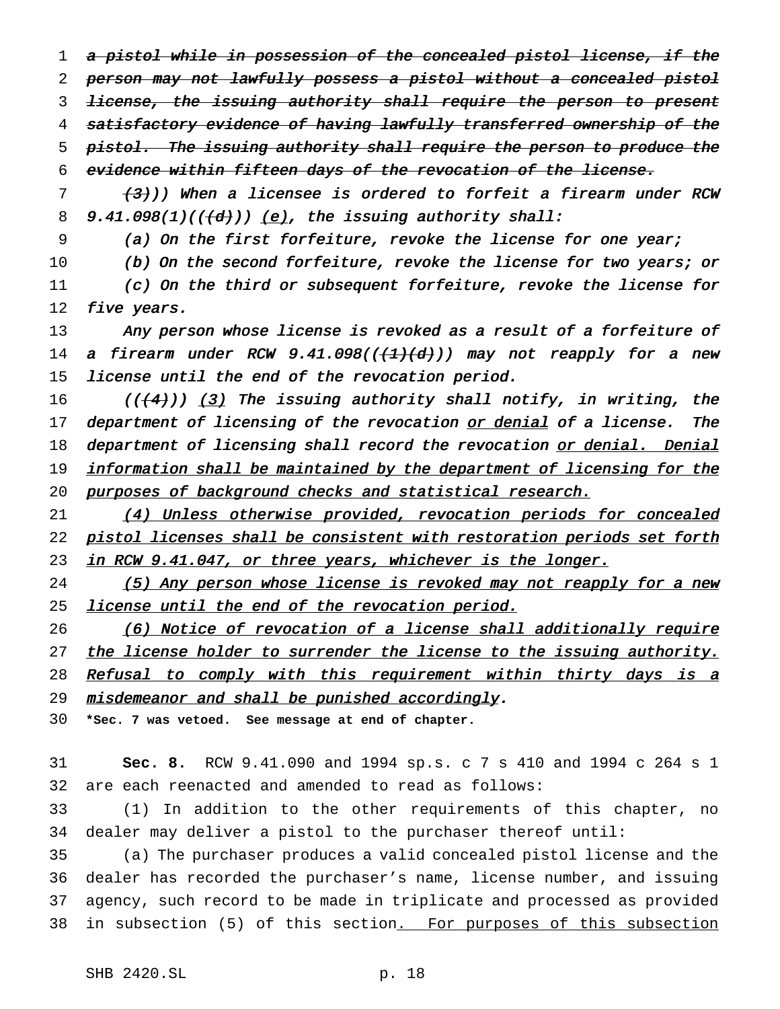1 a pistol while in possession of the concealed pistol license, if the 2 person may not lawfully possess a pistol without a concealed pistol 3 license, the issuing authority shall require the person to present 4 satisfactory evidence of having lawfully transferred ownership of the 5 pistol. The issuing authority shall require the person to produce the 6 evidence within fifteen days of the revocation of the license.

 $7$  (3)) When a licensee is ordered to forfeit a firearm under RCW 8 9.41.098(1)( $(\overline{d})$ ) (e), the issuing authority shall:

9 (a) On the first forfeiture, revoke the license for one year;

10 (b) On the second forfeiture, revoke the license for two years; or 11 (c) On the third or subsequent forfeiture, revoke the license for 12 five years.

13 Any person whose license is revoked as a result of a forfeiture of 14 a firearm under RCW  $9.41.098((\lbrace 1\rbrace\lbrace d\rbrace))$  may not reapply for a new 15 license until the end of the revocation period.

16 ( $((4)$ ) (3) The issuing authority shall notify, in writing, the 17 department of licensing of the revocation or denial of a license. The 18 department of licensing shall record the revocation or denial. Denial 19 information shall be maintained by the department of licensing for the 20 purposes of background checks and statistical research.

21 (4) Unless otherwise provided, revocation periods for concealed 22 pistol licenses shall be consistent with restoration periods set forth 23 in RCW 9.41.047, or three years, whichever is the longer.

24 (5) Any person whose license is revoked may not reapply for a new 25 license until the end of the revocation period.

26 (6) Notice of revocation of a license shall additionally require 27 the license holder to surrender the license to the issuing authority. 28 Refusal to comply with this requirement within thirty days is a 29 misdemeanor and shall be punished accordingly.

30 **\*Sec. 7 was vetoed. See message at end of chapter.**

31 **Sec. 8.** RCW 9.41.090 and 1994 sp.s. c 7 s 410 and 1994 c 264 s 1 32 are each reenacted and amended to read as follows:

33 (1) In addition to the other requirements of this chapter, no 34 dealer may deliver a pistol to the purchaser thereof until:

 (a) The purchaser produces a valid concealed pistol license and the dealer has recorded the purchaser's name, license number, and issuing agency, such record to be made in triplicate and processed as provided 38 in subsection (5) of this section. For purposes of this subsection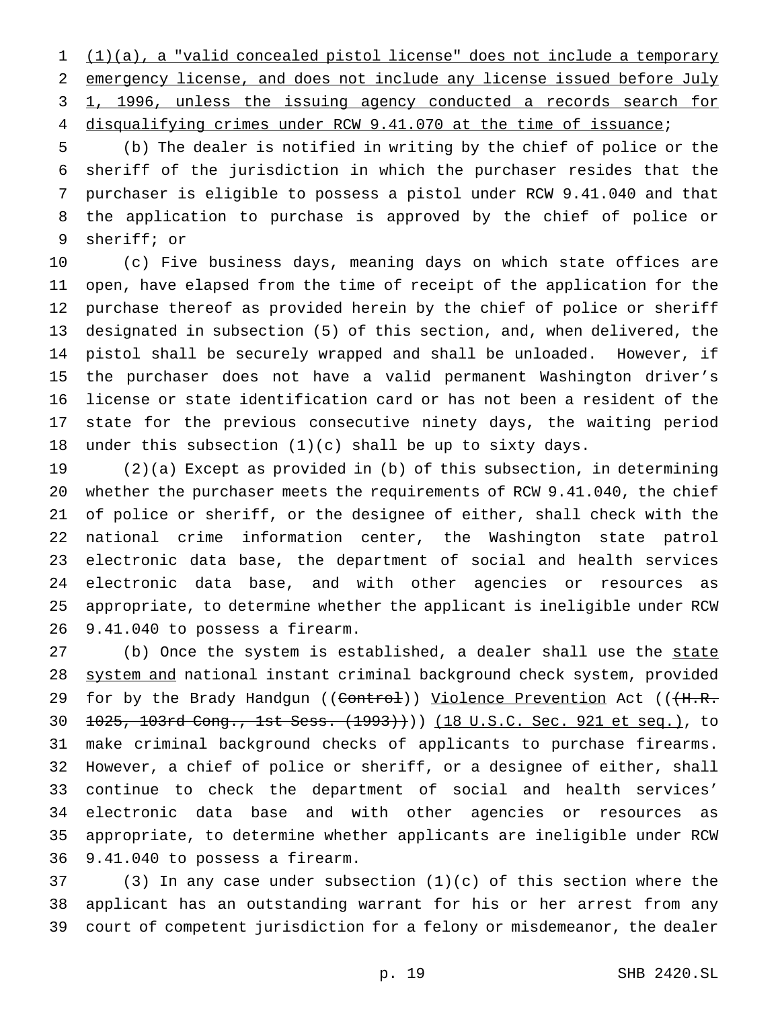(1)(a), a "valid concealed pistol license" does not include a temporary emergency license, and does not include any license issued before July 1, 1996, unless the issuing agency conducted a records search for disqualifying crimes under RCW 9.41.070 at the time of issuance;

 (b) The dealer is notified in writing by the chief of police or the sheriff of the jurisdiction in which the purchaser resides that the purchaser is eligible to possess a pistol under RCW 9.41.040 and that the application to purchase is approved by the chief of police or sheriff; or

 (c) Five business days, meaning days on which state offices are open, have elapsed from the time of receipt of the application for the purchase thereof as provided herein by the chief of police or sheriff designated in subsection (5) of this section, and, when delivered, the pistol shall be securely wrapped and shall be unloaded. However, if the purchaser does not have a valid permanent Washington driver's license or state identification card or has not been a resident of the state for the previous consecutive ninety days, the waiting period under this subsection (1)(c) shall be up to sixty days.

 (2)(a) Except as provided in (b) of this subsection, in determining whether the purchaser meets the requirements of RCW 9.41.040, the chief of police or sheriff, or the designee of either, shall check with the national crime information center, the Washington state patrol electronic data base, the department of social and health services electronic data base, and with other agencies or resources as appropriate, to determine whether the applicant is ineligible under RCW 9.41.040 to possess a firearm.

27 (b) Once the system is established, a dealer shall use the state system and national instant criminal background check system, provided 29 for by the Brady Handgun ((<del>Control</del>)) <u>Violence Prevention</u> Act ((<del>(H.R.</del> 1025, 103rd Cong., 1st Sess. (1993)))) (18 U.S.C. Sec. 921 et seq.), to make criminal background checks of applicants to purchase firearms. However, a chief of police or sheriff, or a designee of either, shall continue to check the department of social and health services' electronic data base and with other agencies or resources as appropriate, to determine whether applicants are ineligible under RCW 9.41.040 to possess a firearm.

 (3) In any case under subsection (1)(c) of this section where the applicant has an outstanding warrant for his or her arrest from any court of competent jurisdiction for a felony or misdemeanor, the dealer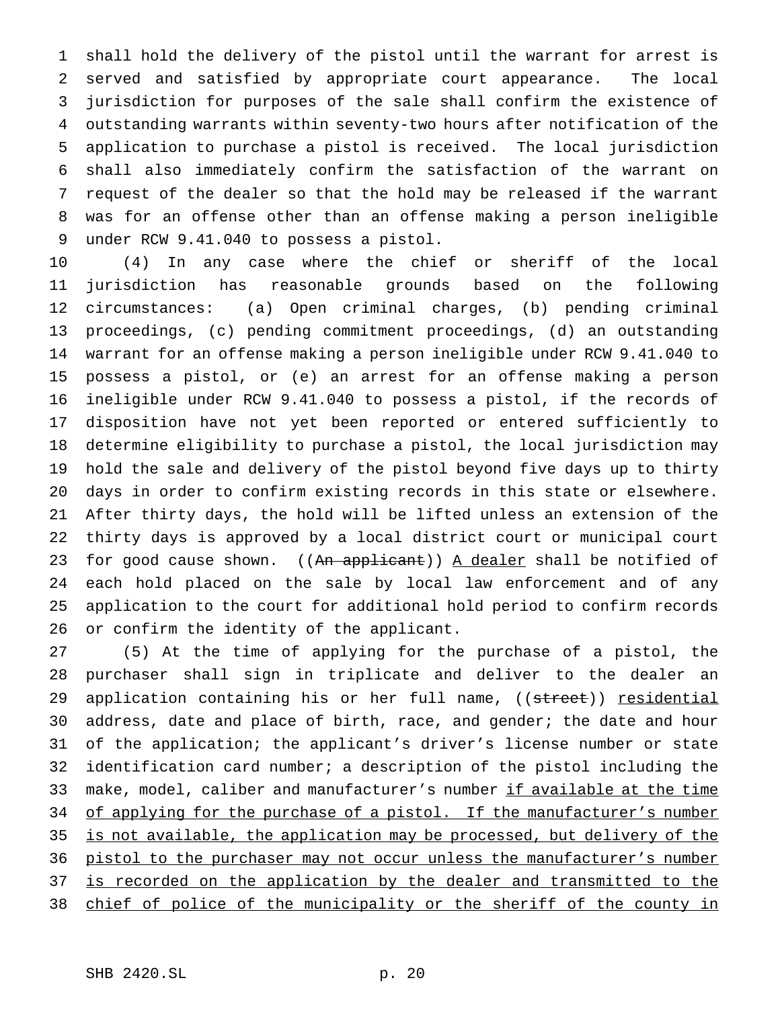shall hold the delivery of the pistol until the warrant for arrest is served and satisfied by appropriate court appearance. The local jurisdiction for purposes of the sale shall confirm the existence of outstanding warrants within seventy-two hours after notification of the application to purchase a pistol is received. The local jurisdiction shall also immediately confirm the satisfaction of the warrant on request of the dealer so that the hold may be released if the warrant was for an offense other than an offense making a person ineligible under RCW 9.41.040 to possess a pistol.

 (4) In any case where the chief or sheriff of the local jurisdiction has reasonable grounds based on the following circumstances: (a) Open criminal charges, (b) pending criminal proceedings, (c) pending commitment proceedings, (d) an outstanding warrant for an offense making a person ineligible under RCW 9.41.040 to possess a pistol, or (e) an arrest for an offense making a person ineligible under RCW 9.41.040 to possess a pistol, if the records of disposition have not yet been reported or entered sufficiently to determine eligibility to purchase a pistol, the local jurisdiction may hold the sale and delivery of the pistol beyond five days up to thirty days in order to confirm existing records in this state or elsewhere. After thirty days, the hold will be lifted unless an extension of the thirty days is approved by a local district court or municipal court 23 for good cause shown. ((An applicant)) A dealer shall be notified of each hold placed on the sale by local law enforcement and of any application to the court for additional hold period to confirm records or confirm the identity of the applicant.

 (5) At the time of applying for the purchase of a pistol, the purchaser shall sign in triplicate and deliver to the dealer an 29 application containing his or her full name, ((street)) residential address, date and place of birth, race, and gender; the date and hour of the application; the applicant's driver's license number or state identification card number; a description of the pistol including the make, model, caliber and manufacturer's number if available at the time 34 of applying for the purchase of a pistol. If the manufacturer's number is not available, the application may be processed, but delivery of the 36 pistol to the purchaser may not occur unless the manufacturer's number 37 is recorded on the application by the dealer and transmitted to the 38 chief of police of the municipality or the sheriff of the county in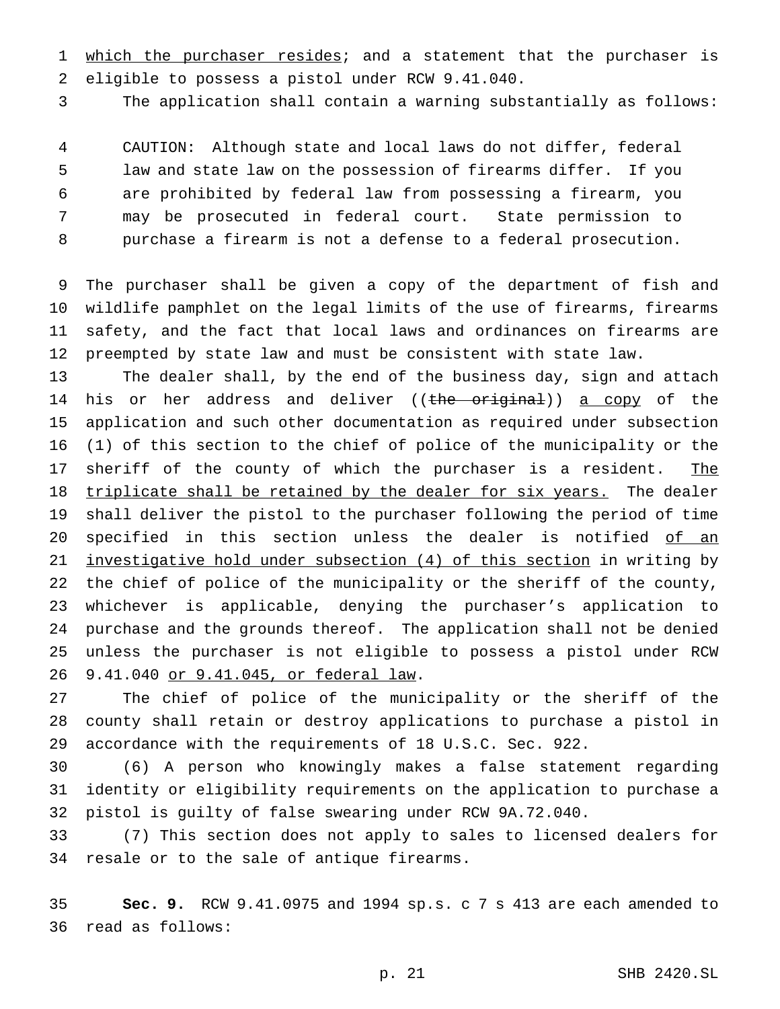1 which the purchaser resides; and a statement that the purchaser is eligible to possess a pistol under RCW 9.41.040.

The application shall contain a warning substantially as follows:

 CAUTION: Although state and local laws do not differ, federal law and state law on the possession of firearms differ. If you are prohibited by federal law from possessing a firearm, you may be prosecuted in federal court. State permission to purchase a firearm is not a defense to a federal prosecution.

 The purchaser shall be given a copy of the department of fish and wildlife pamphlet on the legal limits of the use of firearms, firearms safety, and the fact that local laws and ordinances on firearms are preempted by state law and must be consistent with state law.

 The dealer shall, by the end of the business day, sign and attach 14 his or her address and deliver ((the original)) a copy of the application and such other documentation as required under subsection (1) of this section to the chief of police of the municipality or the 17 sheriff of the county of which the purchaser is a resident. The triplicate shall be retained by the dealer for six years. The dealer shall deliver the pistol to the purchaser following the period of time 20 specified in this section unless the dealer is notified of an investigative hold under subsection (4) of this section in writing by the chief of police of the municipality or the sheriff of the county, whichever is applicable, denying the purchaser's application to purchase and the grounds thereof. The application shall not be denied unless the purchaser is not eligible to possess a pistol under RCW 9.41.040 or 9.41.045, or federal law.

 The chief of police of the municipality or the sheriff of the county shall retain or destroy applications to purchase a pistol in accordance with the requirements of 18 U.S.C. Sec. 922.

 (6) A person who knowingly makes a false statement regarding identity or eligibility requirements on the application to purchase a pistol is guilty of false swearing under RCW 9A.72.040.

 (7) This section does not apply to sales to licensed dealers for resale or to the sale of antique firearms.

 **Sec. 9.** RCW 9.41.0975 and 1994 sp.s. c 7 s 413 are each amended to read as follows: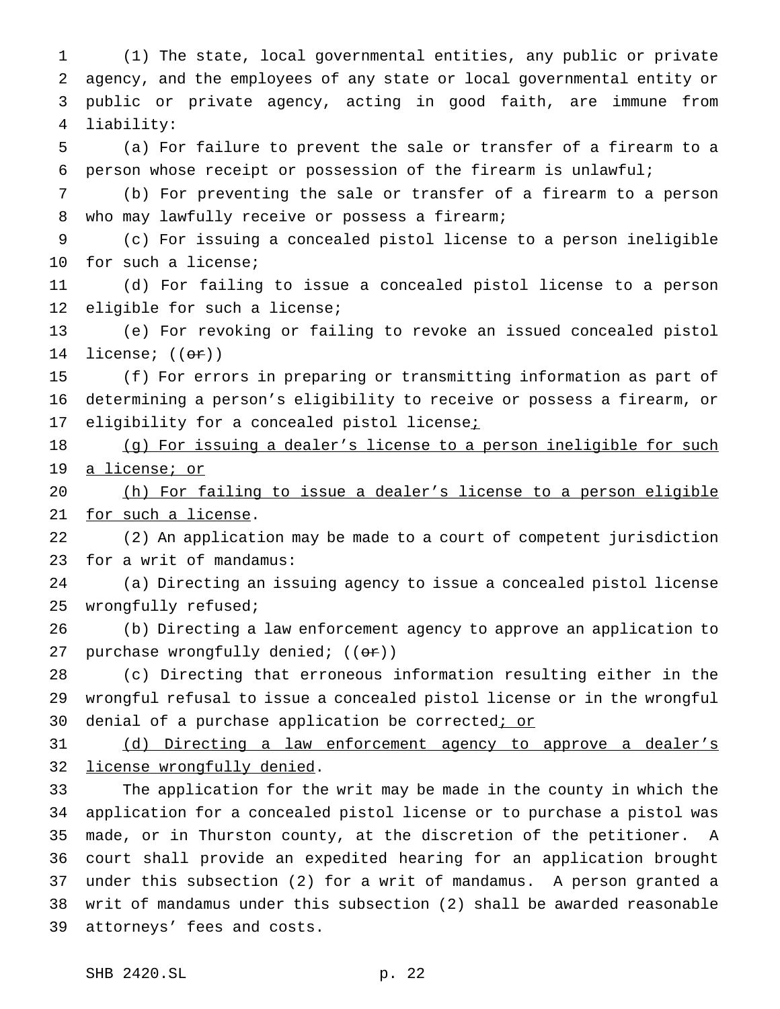(1) The state, local governmental entities, any public or private agency, and the employees of any state or local governmental entity or public or private agency, acting in good faith, are immune from liability:

 (a) For failure to prevent the sale or transfer of a firearm to a person whose receipt or possession of the firearm is unlawful;

 (b) For preventing the sale or transfer of a firearm to a person 8 who may lawfully receive or possess a firearm;

 (c) For issuing a concealed pistol license to a person ineligible for such a license;

 (d) For failing to issue a concealed pistol license to a person eligible for such a license;

 (e) For revoking or failing to revoke an issued concealed pistol 14 license; ((<del>or</del>))

 (f) For errors in preparing or transmitting information as part of determining a person's eligibility to receive or possess a firearm, or 17 eligibility for a concealed pistol licensei

18 (g) For issuing a dealer's license to a person ineligible for such 19 a license; or

 (h) For failing to issue a dealer's license to a person eligible for such a license.

 (2) An application may be made to a court of competent jurisdiction for a writ of mandamus:

 (a) Directing an issuing agency to issue a concealed pistol license wrongfully refused;

 (b) Directing a law enforcement agency to approve an application to 27 purchase wrongfully denied;  $((e^+e^+))$ 

 (c) Directing that erroneous information resulting either in the wrongful refusal to issue a concealed pistol license or in the wrongful 30 denial of a purchase application be corrected; or

 (d) Directing a law enforcement agency to approve a dealer's license wrongfully denied.

 The application for the writ may be made in the county in which the application for a concealed pistol license or to purchase a pistol was made, or in Thurston county, at the discretion of the petitioner. A court shall provide an expedited hearing for an application brought under this subsection (2) for a writ of mandamus. A person granted a writ of mandamus under this subsection (2) shall be awarded reasonable attorneys' fees and costs.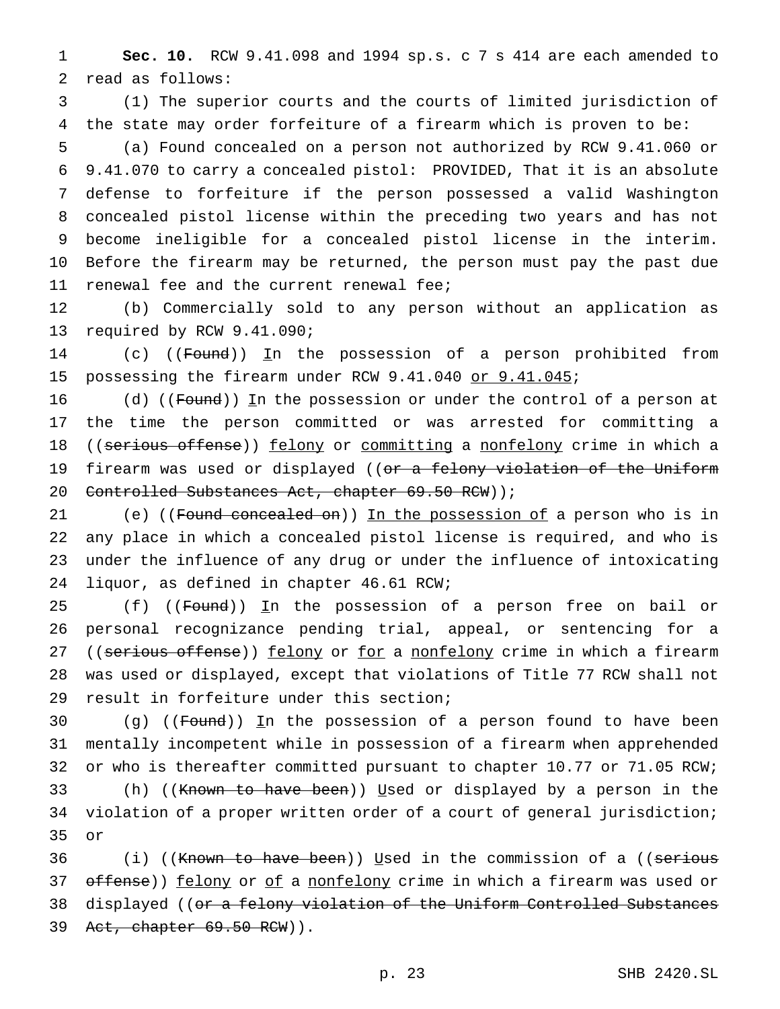1 **Sec. 10.** RCW 9.41.098 and 1994 sp.s. c 7 s 414 are each amended to 2 read as follows:

3 (1) The superior courts and the courts of limited jurisdiction of 4 the state may order forfeiture of a firearm which is proven to be:

 (a) Found concealed on a person not authorized by RCW 9.41.060 or 9.41.070 to carry a concealed pistol: PROVIDED, That it is an absolute defense to forfeiture if the person possessed a valid Washington concealed pistol license within the preceding two years and has not become ineligible for a concealed pistol license in the interim. Before the firearm may be returned, the person must pay the past due 11 renewal fee and the current renewal fee;

12 (b) Commercially sold to any person without an application as 13 required by RCW 9.41.090;

14 (c) ((Found)) In the possession of a person prohibited from 15 possessing the firearm under RCW 9.41.040 or 9.41.045;

16 (d) ((Found)) In the possession or under the control of a person at 17 the time the person committed or was arrested for committing a 18 ((serious offense)) felony or committing a nonfelony crime in which a 19 firearm was used or displayed ((or a felony violation of the Uniform 20 Controlled Substances Act, chapter 69.50 RCW) );

21 (e) ((Found concealed on)) In the possession of a person who is in any place in which a concealed pistol license is required, and who is under the influence of any drug or under the influence of intoxicating liquor, as defined in chapter 46.61 RCW;

25 (f) ((Found)) In the possession of a person free on bail or 26 personal recognizance pending trial, appeal, or sentencing for a 27 ((serious offense)) felony or for a nonfelony crime in which a firearm 28 was used or displayed, except that violations of Title 77 RCW shall not 29 result in forfeiture under this section;

30 (g) ((Found)) In the possession of a person found to have been 31 mentally incompetent while in possession of a firearm when apprehended 32 or who is thereafter committed pursuant to chapter 10.77 or 71.05 RCW;

33 (h) ((Known to have been)) Used or displayed by a person in the 34 violation of a proper written order of a court of general jurisdiction; 35 or

36  $(i)$  ((Known to have been)) Used in the commission of a ((serious 37 offense)) felony or of a nonfelony crime in which a firearm was used or 38 displayed ((or a felony violation of the Uniform Controlled Substances 39 Act, chapter 69.50 RCW)).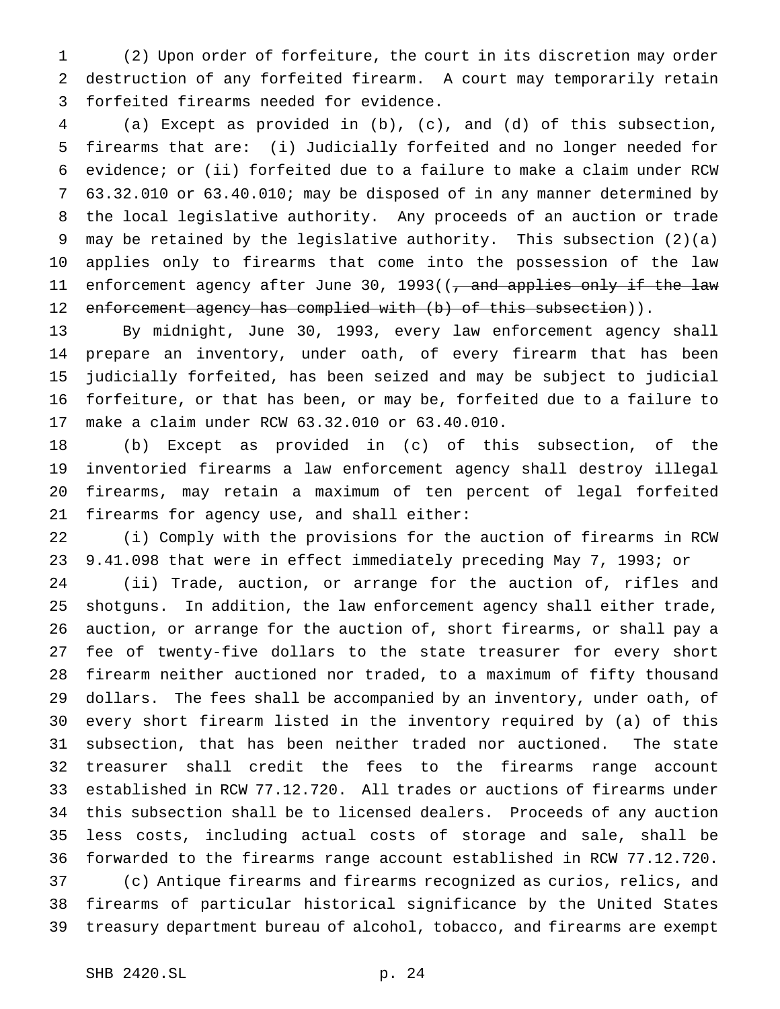(2) Upon order of forfeiture, the court in its discretion may order destruction of any forfeited firearm. A court may temporarily retain forfeited firearms needed for evidence.

 (a) Except as provided in (b), (c), and (d) of this subsection, firearms that are: (i) Judicially forfeited and no longer needed for evidence; or (ii) forfeited due to a failure to make a claim under RCW 63.32.010 or 63.40.010; may be disposed of in any manner determined by the local legislative authority. Any proceeds of an auction or trade may be retained by the legislative authority. This subsection (2)(a) applies only to firearms that come into the possession of the law 11 enforcement agency after June 30, 1993((<del>, and applies only if the law</del> 12 enforcement agency has complied with (b) of this subsection)).

 By midnight, June 30, 1993, every law enforcement agency shall prepare an inventory, under oath, of every firearm that has been judicially forfeited, has been seized and may be subject to judicial forfeiture, or that has been, or may be, forfeited due to a failure to make a claim under RCW 63.32.010 or 63.40.010.

 (b) Except as provided in (c) of this subsection, of the inventoried firearms a law enforcement agency shall destroy illegal firearms, may retain a maximum of ten percent of legal forfeited firearms for agency use, and shall either:

 (i) Comply with the provisions for the auction of firearms in RCW 9.41.098 that were in effect immediately preceding May 7, 1993; or

 (ii) Trade, auction, or arrange for the auction of, rifles and shotguns. In addition, the law enforcement agency shall either trade, auction, or arrange for the auction of, short firearms, or shall pay a fee of twenty-five dollars to the state treasurer for every short firearm neither auctioned nor traded, to a maximum of fifty thousand dollars. The fees shall be accompanied by an inventory, under oath, of every short firearm listed in the inventory required by (a) of this subsection, that has been neither traded nor auctioned. The state treasurer shall credit the fees to the firearms range account established in RCW 77.12.720. All trades or auctions of firearms under this subsection shall be to licensed dealers. Proceeds of any auction less costs, including actual costs of storage and sale, shall be forwarded to the firearms range account established in RCW 77.12.720. (c) Antique firearms and firearms recognized as curios, relics, and firearms of particular historical significance by the United States treasury department bureau of alcohol, tobacco, and firearms are exempt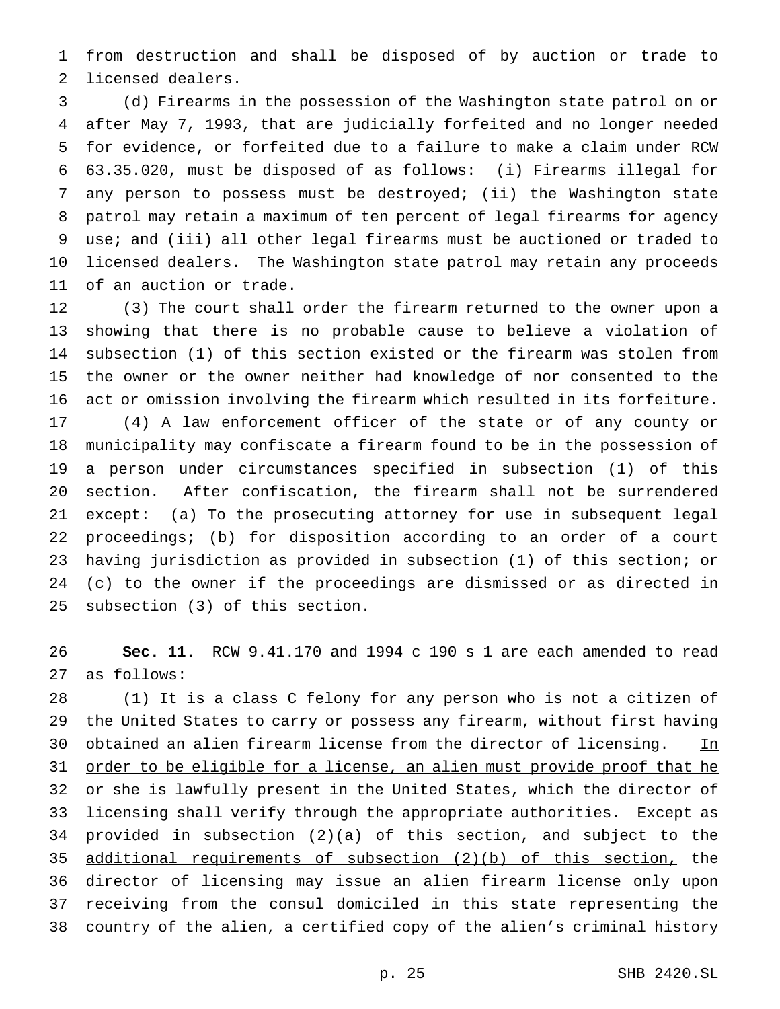from destruction and shall be disposed of by auction or trade to licensed dealers.

 (d) Firearms in the possession of the Washington state patrol on or after May 7, 1993, that are judicially forfeited and no longer needed for evidence, or forfeited due to a failure to make a claim under RCW 63.35.020, must be disposed of as follows: (i) Firearms illegal for any person to possess must be destroyed; (ii) the Washington state patrol may retain a maximum of ten percent of legal firearms for agency use; and (iii) all other legal firearms must be auctioned or traded to licensed dealers. The Washington state patrol may retain any proceeds of an auction or trade.

 (3) The court shall order the firearm returned to the owner upon a showing that there is no probable cause to believe a violation of subsection (1) of this section existed or the firearm was stolen from the owner or the owner neither had knowledge of nor consented to the act or omission involving the firearm which resulted in its forfeiture. (4) A law enforcement officer of the state or of any county or municipality may confiscate a firearm found to be in the possession of a person under circumstances specified in subsection (1) of this section. After confiscation, the firearm shall not be surrendered

 except: (a) To the prosecuting attorney for use in subsequent legal proceedings; (b) for disposition according to an order of a court having jurisdiction as provided in subsection (1) of this section; or (c) to the owner if the proceedings are dismissed or as directed in subsection (3) of this section.

 **Sec. 11.** RCW 9.41.170 and 1994 c 190 s 1 are each amended to read as follows:

 (1) It is a class C felony for any person who is not a citizen of the United States to carry or possess any firearm, without first having 30 obtained an alien firearm license from the director of licensing. In 31 order to be eligible for a license, an alien must provide proof that he 32 or she is lawfully present in the United States, which the director of 33 licensing shall verify through the appropriate authorities. Except as 34 provided in subsection  $(2)(a)$  of this section, and subject to the additional requirements of subsection (2)(b) of this section, the director of licensing may issue an alien firearm license only upon receiving from the consul domiciled in this state representing the country of the alien, a certified copy of the alien's criminal history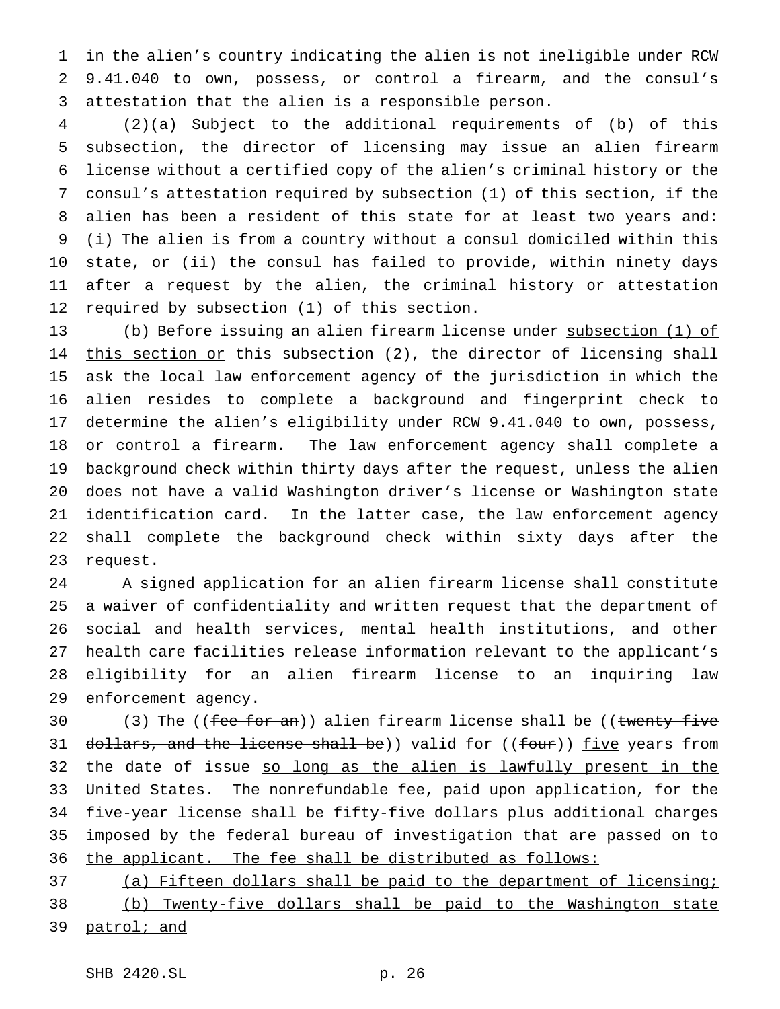in the alien's country indicating the alien is not ineligible under RCW 9.41.040 to own, possess, or control a firearm, and the consul's attestation that the alien is a responsible person.

 (2)(a) Subject to the additional requirements of (b) of this subsection, the director of licensing may issue an alien firearm license without a certified copy of the alien's criminal history or the consul's attestation required by subsection (1) of this section, if the alien has been a resident of this state for at least two years and: (i) The alien is from a country without a consul domiciled within this state, or (ii) the consul has failed to provide, within ninety days after a request by the alien, the criminal history or attestation required by subsection (1) of this section.

 (b) Before issuing an alien firearm license under subsection (1) of 14 this section or this subsection (2), the director of licensing shall ask the local law enforcement agency of the jurisdiction in which the alien resides to complete a background and fingerprint check to determine the alien's eligibility under RCW 9.41.040 to own, possess, or control a firearm. The law enforcement agency shall complete a background check within thirty days after the request, unless the alien does not have a valid Washington driver's license or Washington state identification card. In the latter case, the law enforcement agency shall complete the background check within sixty days after the request.

 A signed application for an alien firearm license shall constitute a waiver of confidentiality and written request that the department of social and health services, mental health institutions, and other health care facilities release information relevant to the applicant's eligibility for an alien firearm license to an inquiring law enforcement agency.

30 (3) The ((fee for an)) alien firearm license shall be ((twenty-five 31 dollars, and the license shall be)) valid for ((four)) five years from 32 the date of issue so long as the alien is lawfully present in the United States. The nonrefundable fee, paid upon application, for the five-year license shall be fifty-five dollars plus additional charges imposed by the federal bureau of investigation that are passed on to the applicant. The fee shall be distributed as follows:

 (a) Fifteen dollars shall be paid to the department of licensing; (b) Twenty-five dollars shall be paid to the Washington state 39 patrol; and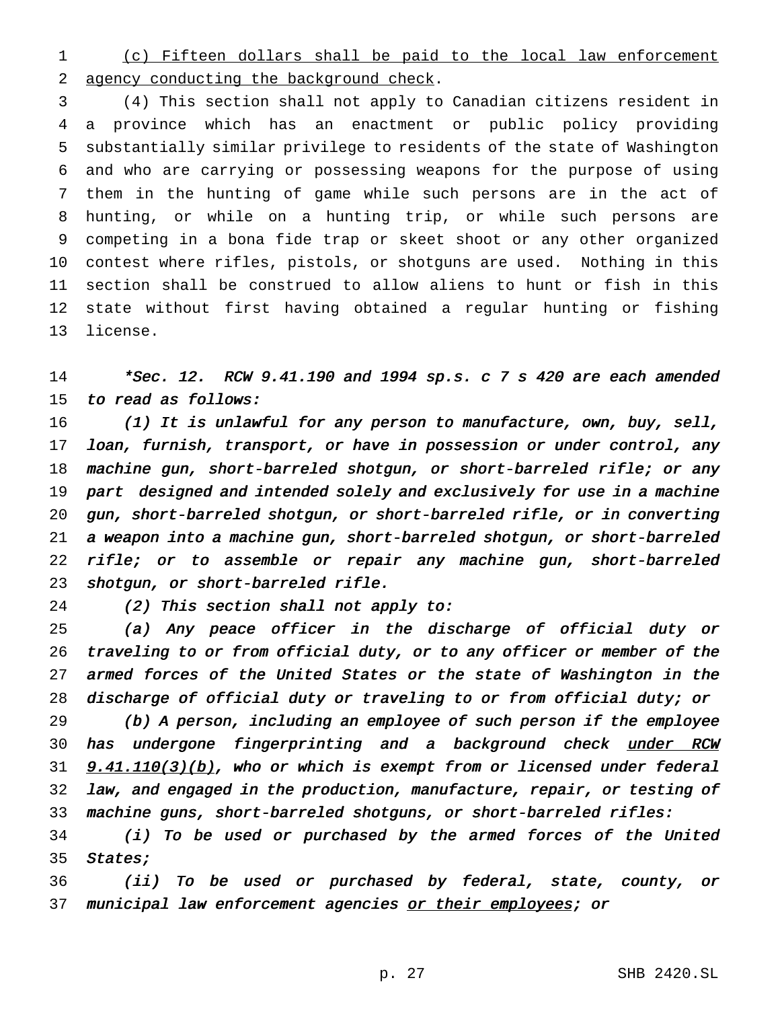(c) Fifteen dollars shall be paid to the local law enforcement agency conducting the background check.

 (4) This section shall not apply to Canadian citizens resident in a province which has an enactment or public policy providing substantially similar privilege to residents of the state of Washington and who are carrying or possessing weapons for the purpose of using them in the hunting of game while such persons are in the act of hunting, or while on a hunting trip, or while such persons are competing in a bona fide trap or skeet shoot or any other organized contest where rifles, pistols, or shotguns are used. Nothing in this section shall be construed to allow aliens to hunt or fish in this state without first having obtained a regular hunting or fishing license.

 \*Sec. 12. RCW 9.41.190 and <sup>1994</sup> sp.s. <sup>c</sup> <sup>7</sup> <sup>s</sup> <sup>420</sup> are each amended to read as follows:

 (1) It is unlawful for any person to manufacture, own, buy, sell, loan, furnish, transport, or have in possession or under control, any machine gun, short-barreled shotgun, or short-barreled rifle; or any part designed and intended solely and exclusively for use in <sup>a</sup> machine gun, short-barreled shotgun, or short-barreled rifle, or in converting <sup>a</sup> weapon into <sup>a</sup> machine gun, short-barreled shotgun, or short-barreled rifle; or to assemble or repair any machine gun, short-barreled shotgun, or short-barreled rifle.

(2) This section shall not apply to:

 (a) Any peace officer in the discharge of official duty or traveling to or from official duty, or to any officer or member of the armed forces of the United States or the state of Washington in the discharge of official duty or traveling to or from official duty; or

 (b) <sup>A</sup> person, including an employee of such person if the employee 30 has undergone fingerprinting and a background check under RCW **9.41.110(3)(b)**, who or which is exempt from or licensed under federal law, and engaged in the production, manufacture, repair, or testing of machine guns, short-barreled shotguns, or short-barreled rifles:

 (i) To be used or purchased by the armed forces of the United 35 States;

 (ii) To be used or purchased by federal, state, county, or 37 municipal law enforcement agencies or their employees; or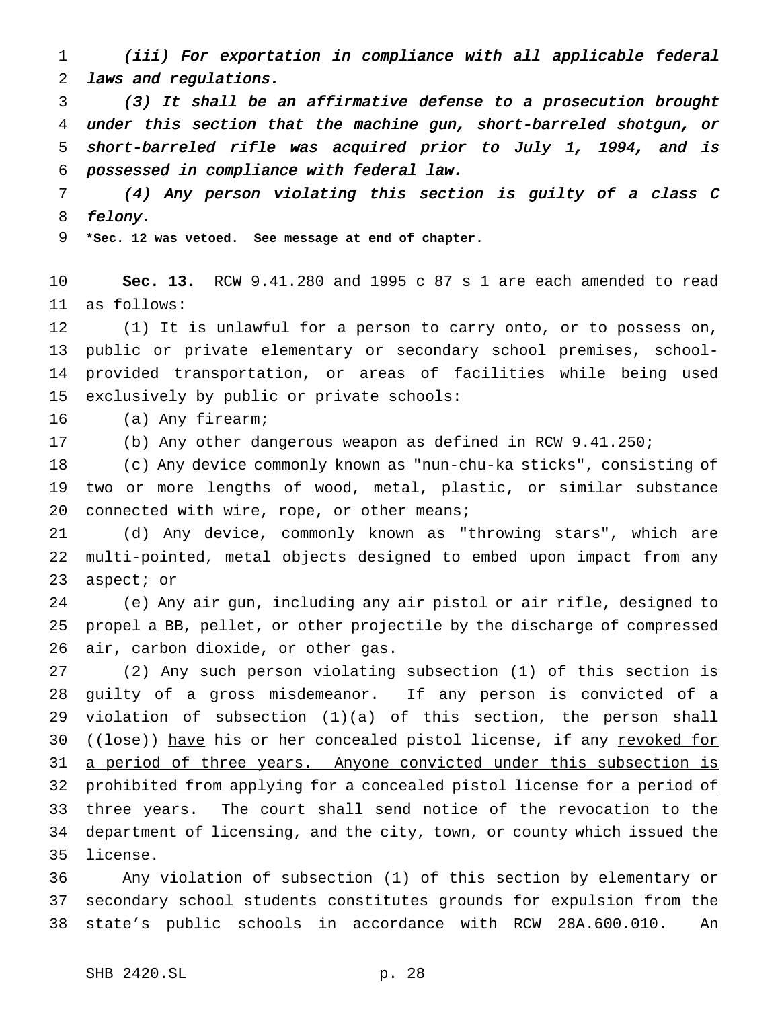(iii) For exportation in compliance with all applicable federal laws and regulations.

 (3) It shall be an affirmative defense to <sup>a</sup> prosecution brought under this section that the machine gun, short-barreled shotgun, or short-barreled rifle was acquired prior to July 1, 1994, and is possessed in compliance with federal law.

 (4) Any person violating this section is guilty of <sup>a</sup> class <sup>C</sup> felony.

**\*Sec. 12 was vetoed. See message at end of chapter.**

 **Sec. 13.** RCW 9.41.280 and 1995 c 87 s 1 are each amended to read as follows:

 (1) It is unlawful for a person to carry onto, or to possess on, public or private elementary or secondary school premises, school- provided transportation, or areas of facilities while being used exclusively by public or private schools:

(a) Any firearm;

(b) Any other dangerous weapon as defined in RCW 9.41.250;

 (c) Any device commonly known as "nun-chu-ka sticks", consisting of two or more lengths of wood, metal, plastic, or similar substance 20 connected with wire, rope, or other means;

 (d) Any device, commonly known as "throwing stars", which are multi-pointed, metal objects designed to embed upon impact from any aspect; or

 (e) Any air gun, including any air pistol or air rifle, designed to propel a BB, pellet, or other projectile by the discharge of compressed air, carbon dioxide, or other gas.

 (2) Any such person violating subsection (1) of this section is guilty of a gross misdemeanor. If any person is convicted of a violation of subsection (1)(a) of this section, the person shall 30 ((<del>lose</del>)) have his or her concealed pistol license, if any revoked for 31 a period of three years. Anyone convicted under this subsection is prohibited from applying for a concealed pistol license for a period of three years. The court shall send notice of the revocation to the department of licensing, and the city, town, or county which issued the license.

 Any violation of subsection (1) of this section by elementary or secondary school students constitutes grounds for expulsion from the state's public schools in accordance with RCW 28A.600.010. An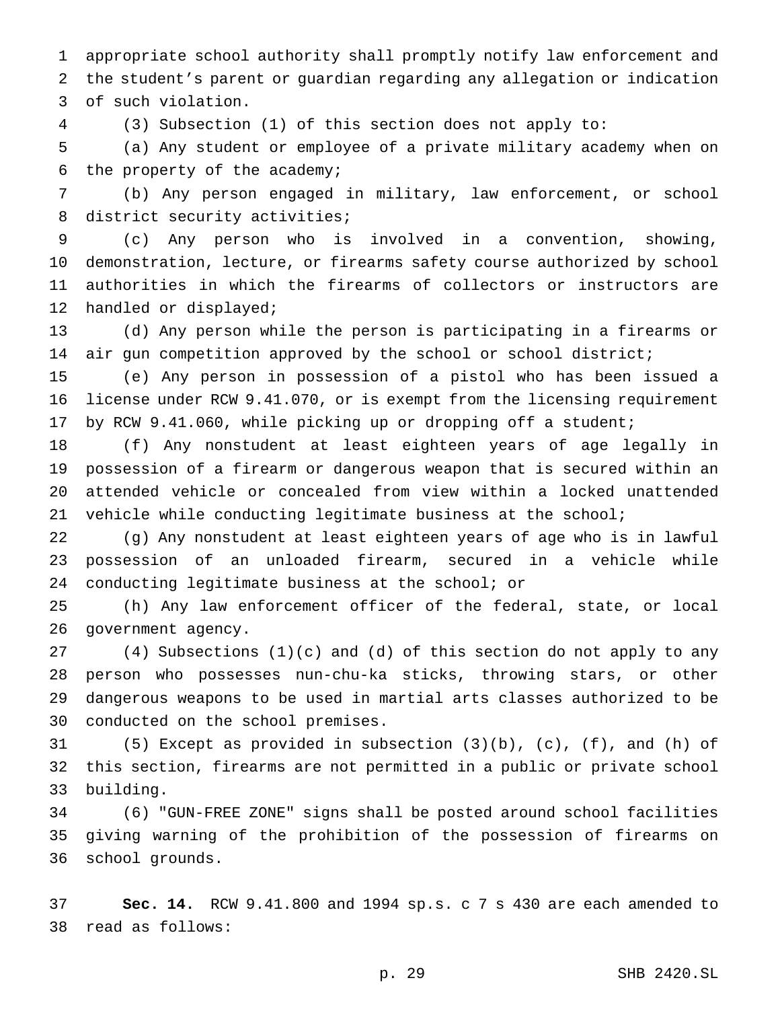appropriate school authority shall promptly notify law enforcement and the student's parent or guardian regarding any allegation or indication of such violation.

(3) Subsection (1) of this section does not apply to:

 (a) Any student or employee of a private military academy when on the property of the academy;

 (b) Any person engaged in military, law enforcement, or school 8 district security activities;

 (c) Any person who is involved in a convention, showing, demonstration, lecture, or firearms safety course authorized by school authorities in which the firearms of collectors or instructors are handled or displayed;

 (d) Any person while the person is participating in a firearms or air gun competition approved by the school or school district;

 (e) Any person in possession of a pistol who has been issued a license under RCW 9.41.070, or is exempt from the licensing requirement by RCW 9.41.060, while picking up or dropping off a student;

 (f) Any nonstudent at least eighteen years of age legally in possession of a firearm or dangerous weapon that is secured within an attended vehicle or concealed from view within a locked unattended vehicle while conducting legitimate business at the school;

 (g) Any nonstudent at least eighteen years of age who is in lawful possession of an unloaded firearm, secured in a vehicle while conducting legitimate business at the school; or

 (h) Any law enforcement officer of the federal, state, or local government agency.

 (4) Subsections (1)(c) and (d) of this section do not apply to any person who possesses nun-chu-ka sticks, throwing stars, or other dangerous weapons to be used in martial arts classes authorized to be conducted on the school premises.

 (5) Except as provided in subsection (3)(b), (c), (f), and (h) of this section, firearms are not permitted in a public or private school building.

 (6) "GUN-FREE ZONE" signs shall be posted around school facilities giving warning of the prohibition of the possession of firearms on school grounds.

 **Sec. 14.** RCW 9.41.800 and 1994 sp.s. c 7 s 430 are each amended to read as follows: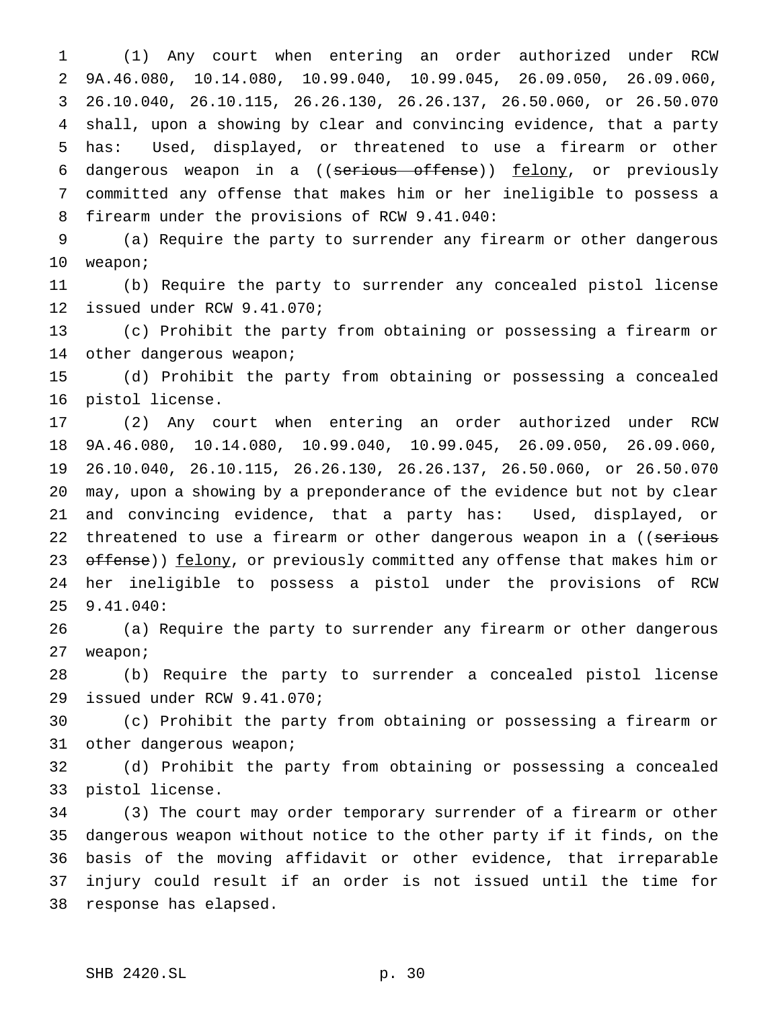(1) Any court when entering an order authorized under RCW 9A.46.080, 10.14.080, 10.99.040, 10.99.045, 26.09.050, 26.09.060, 26.10.040, 26.10.115, 26.26.130, 26.26.137, 26.50.060, or 26.50.070 shall, upon a showing by clear and convincing evidence, that a party has: Used, displayed, or threatened to use a firearm or other 6 dangerous weapon in a ((serious offense)) felony, or previously committed any offense that makes him or her ineligible to possess a firearm under the provisions of RCW 9.41.040:

 (a) Require the party to surrender any firearm or other dangerous weapon;

 (b) Require the party to surrender any concealed pistol license issued under RCW 9.41.070;

 (c) Prohibit the party from obtaining or possessing a firearm or 14 other dangerous weapon;

 (d) Prohibit the party from obtaining or possessing a concealed pistol license.

 (2) Any court when entering an order authorized under RCW 9A.46.080, 10.14.080, 10.99.040, 10.99.045, 26.09.050, 26.09.060, 26.10.040, 26.10.115, 26.26.130, 26.26.137, 26.50.060, or 26.50.070 may, upon a showing by a preponderance of the evidence but not by clear and convincing evidence, that a party has: Used, displayed, or 22 threatened to use a firearm or other dangerous weapon in a ((serious 23 offense)) felony, or previously committed any offense that makes him or her ineligible to possess a pistol under the provisions of RCW 9.41.040:

 (a) Require the party to surrender any firearm or other dangerous weapon;

 (b) Require the party to surrender a concealed pistol license issued under RCW 9.41.070;

 (c) Prohibit the party from obtaining or possessing a firearm or other dangerous weapon;

 (d) Prohibit the party from obtaining or possessing a concealed pistol license.

 (3) The court may order temporary surrender of a firearm or other dangerous weapon without notice to the other party if it finds, on the basis of the moving affidavit or other evidence, that irreparable injury could result if an order is not issued until the time for response has elapsed.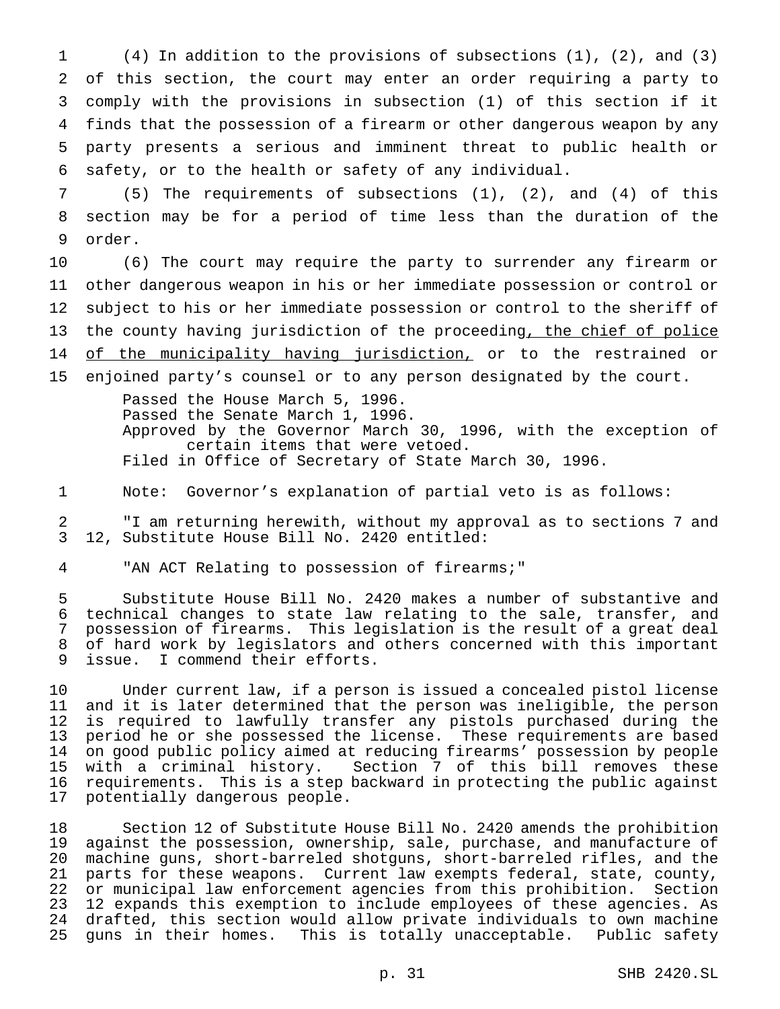(4) In addition to the provisions of subsections (1), (2), and (3) of this section, the court may enter an order requiring a party to comply with the provisions in subsection (1) of this section if it finds that the possession of a firearm or other dangerous weapon by any party presents a serious and imminent threat to public health or safety, or to the health or safety of any individual.

 (5) The requirements of subsections (1), (2), and (4) of this section may be for a period of time less than the duration of the order.

 (6) The court may require the party to surrender any firearm or other dangerous weapon in his or her immediate possession or control or subject to his or her immediate possession or control to the sheriff of the county having jurisdiction of the proceeding, the chief of police 14 of the municipality having jurisdiction, or to the restrained or enjoined party's counsel or to any person designated by the court.

> Passed the House March 5, 1996. Passed the Senate March 1, 1996. Approved by the Governor March 30, 1996, with the exception of certain items that were vetoed. Filed in Office of Secretary of State March 30, 1996.

Note: Governor's explanation of partial veto is as follows:

 "I am returning herewith, without my approval as to sections 7 and 12, Substitute House Bill No. 2420 entitled:

"AN ACT Relating to possession of firearms;"

 Substitute House Bill No. 2420 makes a number of substantive and technical changes to state law relating to the sale, transfer, and possession of firearms. This legislation is the result of a great deal of hard work by legislators and others concerned with this important issue. I commend their efforts.

 Under current law, if a person is issued a concealed pistol license and it is later determined that the person was ineligible, the person is required to lawfully transfer any pistols purchased during the period he or she possessed the license. These requirements are based on good public policy aimed at reducing firearms' possession by people with a criminal history. Section 7 of this bill removes these requirements. This is a step backward in protecting the public against potentially dangerous people.

 Section 12 of Substitute House Bill No. 2420 amends the prohibition against the possession, ownership, sale, purchase, and manufacture of machine guns, short-barreled shotguns, short-barreled rifles, and the parts for these weapons. Current law exempts federal, state, county, or municipal law enforcement agencies from this prohibition. Section 12 expands this exemption to include employees of these agencies. As 24 drafted, this section would allow private individuals to own machine<br>25 guns in their homes. This is totally unacceptable. Public safety guns in their homes. This is totally unacceptable. Public safety